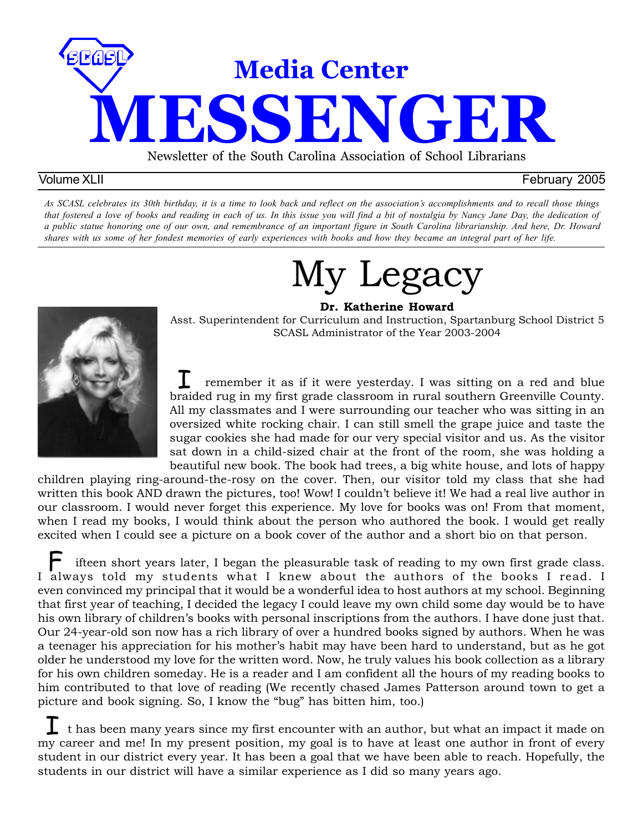

#### Volume XLII February 2005

*As SCASL celebrates its 30th birthday, it is a time to look back and reflect on the association's accomplishments and to recall those things that fostered a love of books and reading in each of us. In this issue you will find a bit of nostalgia by Nancy Jane Day, the dedication of a public statue honoring one of our own, and remembrance of an important figure in South Carolina librarianship. And here, Dr. Howard shares with us some of her fondest memories of early experiences with books and how they became an integral part of her life.*

# My Legacy **Dr. Katherine Howard**



Asst. Superintendent for Curriculum and Instruction, Spartanburg School District 5 SCASL Administrator of the Year 2003-2004

 remember it as if it were yesterday. I was sitting on a red and blue I remember it as if it were yesterday. I was sitting on a red and blue<br>braided rug in my first grade classroom in rural southern Greenville County. All my classmates and I were surrounding our teacher who was sitting in an oversized white rocking chair. I can still smell the grape juice and taste the sugar cookies she had made for our very special visitor and us. As the visitor sat down in a child-sized chair at the front of the room, she was holding a beautiful new book. The book had trees, a big white house, and lots of happy

children playing ring-around-the-rosy on the cover. Then, our visitor told my class that she had written this book AND drawn the pictures, too! Wow! I couldn't believe it! We had a real live author in our classroom. I would never forget this experience. My love for books was on! From that moment, when I read my books, I would think about the person who authored the book. I would get really excited when I could see a picture on a book cover of the author and a short bio on that person.

 ifteen short years later, I began the pleasurable task of reading to my own first grade class.  $\mathop{\blacktriangleright}_{\text{il}}$  ifteen short years later, I began the pleasurable task of reading to my own first grade class.<br>I always told my students what I knew about the authors of the books I read. I even convinced my principal that it would be a wonderful idea to host authors at my school. Beginning that first year of teaching, I decided the legacy I could leave my own child some day would be to have his own library of children's books with personal inscriptions from the authors. I have done just that. Our 24-year-old son now has a rich library of over a hundred books signed by authors. When he was a teenager his appreciation for his mother's habit may have been hard to understand, but as he got older he understood my love for the written word. Now, he truly values his book collection as a library for his own children someday. He is a reader and I am confident all the hours of my reading books to him contributed to that love of reading (We recently chased James Patterson around town to get a picture and book signing. So, I know the "bug" has bitten him, too.)

 $\Gamma$  t has been many years since my first encounter with an author, but what an impact it made on my career and me! In my present position, my goal is to have at least one author in front of every student in our district every year. It has been a goal that we have been able to reach. Hopefully, the students in our district will have a similar experience as I did so many years ago.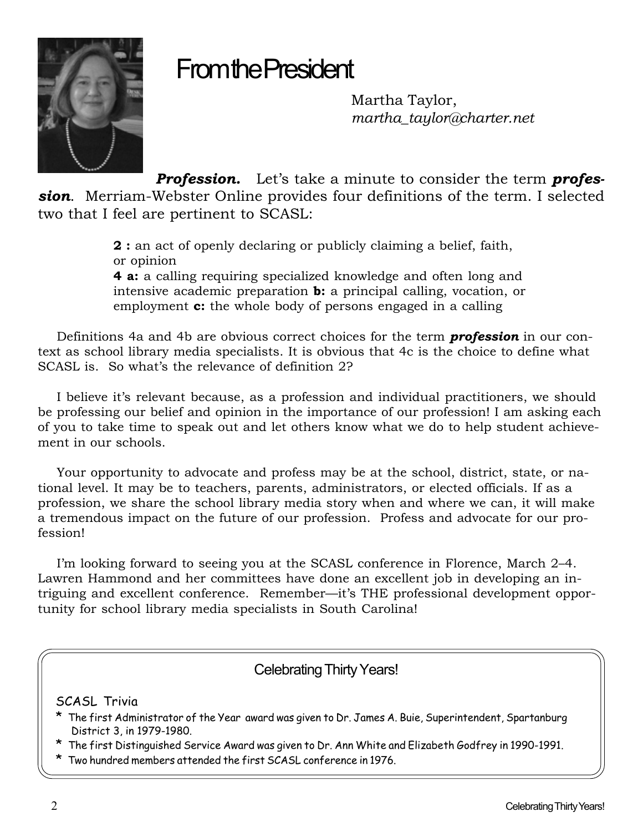

# From the President

Martha Taylor, *martha\_taylor@charter.net*

*Profession.* Let's take a minute to consider the term *profession*. Merriam-Webster Online provides four definitions of the term. I selected two that I feel are pertinent to SCASL:

> **2 :** an act of openly declaring or publicly claiming a belief, faith, or opinion **4 a:** a calling requiring specialized knowledge and often long and intensive academic preparation **b:** a principal calling, vocation, or employment **c:** the whole body of persons engaged in a calling

Definitions 4a and 4b are obvious correct choices for the term *profession* in our context as school library media specialists. It is obvious that 4c is the choice to define what SCASL is. So what's the relevance of definition 2?

I believe it's relevant because, as a profession and individual practitioners, we should be professing our belief and opinion in the importance of our profession! I am asking each of you to take time to speak out and let others know what we do to help student achievement in our schools.

Your opportunity to advocate and profess may be at the school, district, state, or national level. It may be to teachers, parents, administrators, or elected officials. If as a profession, we share the school library media story when and where we can, it will make a tremendous impact on the future of our profession. Profess and advocate for our profession!

I'm looking forward to seeing you at the SCASL conference in Florence, March 2–4. Lawren Hammond and her committees have done an excellent job in developing an intriguing and excellent conference. Remember—it's THE professional development opportunity for school library media specialists in South Carolina!

### Celebrating Thirty Years!

SCASL Trivia

- \* The first Administrator of the Year award was given to Dr. James A. Buie, Superintendent, Spartanburg District 3, in 1979-1980.
- \* The first Distinguished Service Award was given to Dr. Ann White and Elizabeth Godfrey in 1990-1991.
- \* Two hundred members attended the first SCASL conference in 1976.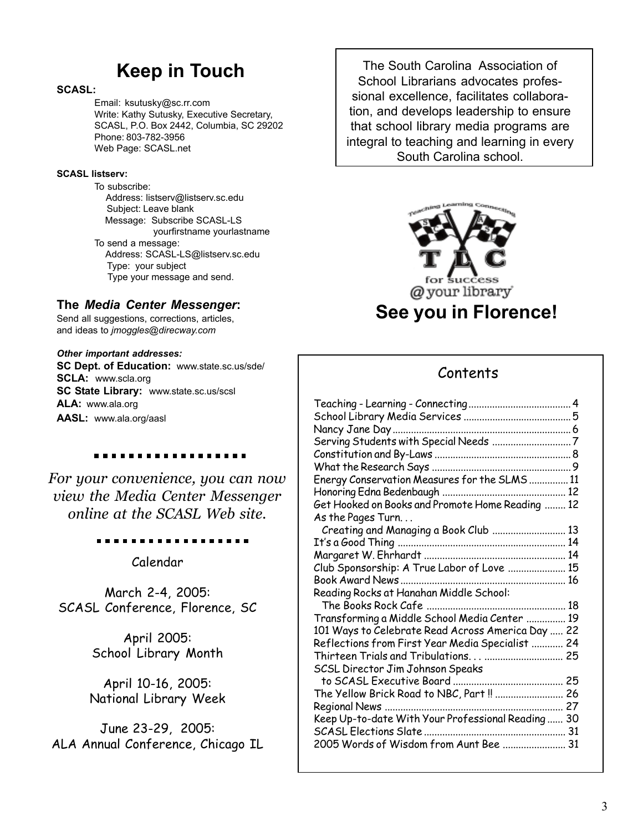# **Keep in Touch**

#### **SCASL:**

Email: ksutusky@sc.rr.com Write: Kathy Sutusky, Executive Secretary, SCASL, P.O. Box 2442, Columbia, SC 29202 Phone: 803-782-3956 Web Page: SCASL.net

#### **SCASL listserv:**

To subscribe: Address: listserv@listserv.sc.edu Subject: Leave blank Message: Subscribe SCASL-LS yourfirstname yourlastname To send a message: Address: SCASL-LS@listserv.sc.edu Type: your subject Type your message and send.

#### **The** *Media Center Messenger***:**

Send all suggestions, corrections, articles, and ideas to *jmoggles@direcway.com*

#### *Other important addresses:*

**SC Dept. of Education:** www.state.sc.us/sde/ **SCLA:** www.scla.org **SC State Library:** www.state.sc.us/scsl **ALA:** www.ala.org **AASL:** www.ala.org/aasl

*For your convenience, you can now view the Media Center Messenger*

. . . . . . . . . . . . . .

*online at the SCASL Web site.*

Calendar

March 2-4, 2005: SCASL Conference, Florence, SC

> April 2005: School Library Month

April 10-16, 2005: National Library Week

June 23-29, 2005: ALA Annual Conference, Chicago IL

The South Carolina Association of School Librarians advocates professional excellence, facilitates collaboration, and develops leadership to ensure that school library media programs are integral to teaching and learning in every South Carolina school.



### Contents

| Energy Conservation Measures for the SLMS  11     |  |
|---------------------------------------------------|--|
|                                                   |  |
| Get Hooked on Books and Promote Home Reading  12  |  |
| As the Pages Turn                                 |  |
| Creating and Managing a Book Club  13             |  |
|                                                   |  |
|                                                   |  |
| Club Sponsorship: A True Labor of Love  15        |  |
| Book Award News<br>16                             |  |
| Reading Rocks at Hanahan Middle School:           |  |
|                                                   |  |
| Transforming a Middle School Media Center  19     |  |
| 101 Ways to Celebrate Read Across America Day  22 |  |
| Reflections from First Year Media Specialist  24  |  |
| Thirteen Trials and Tribulations  25              |  |
| SCSL Director Jim Johnson Speaks                  |  |
|                                                   |  |
| The Yellow Brick Road to NBC, Part!!  26          |  |
|                                                   |  |
|                                                   |  |
|                                                   |  |
| 2005 Words of Wisdom from Aunt Bee  31            |  |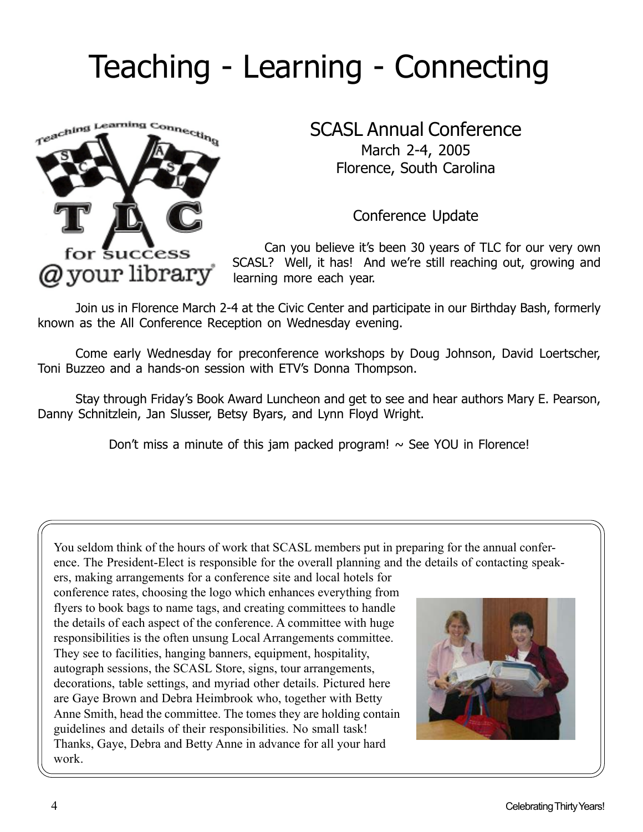# Teaching - Learning - Connecting



### SCASL Annual Conference March 2-4, 2005

Florence, South Carolina

Conference Update

Can you believe it's been 30 years of TLC for our very own SCASL? Well, it has! And we're still reaching out, growing and learning more each year.

Join us in Florence March 2-4 at the Civic Center and participate in our Birthday Bash, formerly known as the All Conference Reception on Wednesday evening.

Come early Wednesday for preconference workshops by Doug Johnson, David Loertscher, Toni Buzzeo and a hands-on session with ETV's Donna Thompson.

Stay through Friday's Book Award Luncheon and get to see and hear authors Mary E. Pearson, Danny Schnitzlein, Jan Slusser, Betsy Byars, and Lynn Floyd Wright.

Don't miss a minute of this jam packed program!  $\sim$  See YOU in Florence!

You seldom think of the hours of work that SCASL members put in preparing for the annual conference. The President-Elect is responsible for the overall planning and the details of contacting speak-

ers, making arrangements for a conference site and local hotels for conference rates, choosing the logo which enhances everything from flyers to book bags to name tags, and creating committees to handle the details of each aspect of the conference. A committee with huge responsibilities is the often unsung Local Arrangements committee. They see to facilities, hanging banners, equipment, hospitality, autograph sessions, the SCASL Store, signs, tour arrangements, decorations, table settings, and myriad other details. Pictured here are Gaye Brown and Debra Heimbrook who, together with Betty Anne Smith, head the committee. The tomes they are holding contain guidelines and details of their responsibilities. No small task! Thanks, Gaye, Debra and Betty Anne in advance for all your hard work.

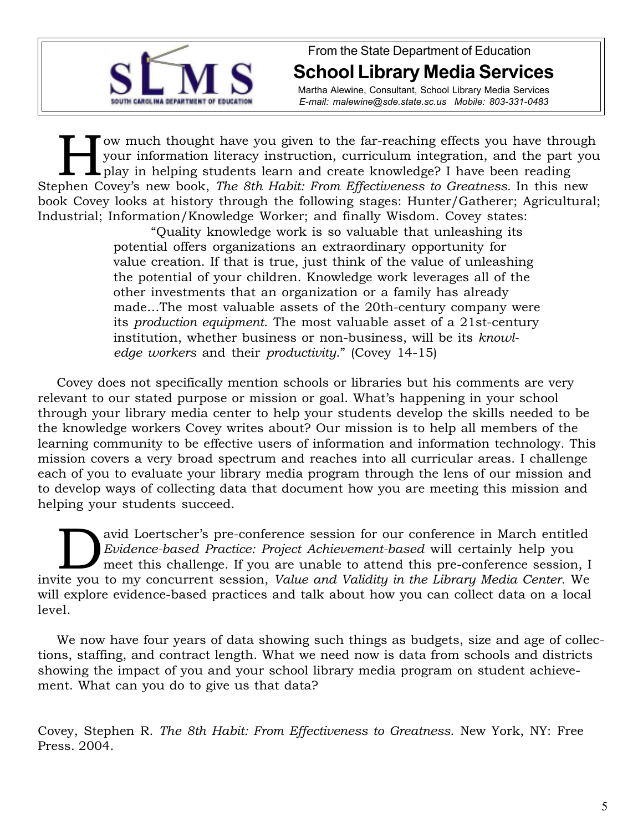

From the State Department of Education **School Library Media Services**

Martha Alewine, Consultant, School Library Media Services *E-mail: malewine@sde.state.sc.us Mobile: 803-331-0483*

Fow much thought have you given to the far-reaching effects you have through<br>your information literacy instruction, curriculum integration, and the part you<br>play in helping students learn and create knowledge? I have been your information literacy instruction, curriculum integration, and the part you play in helping students learn and create knowledge? I have been reading Stephen Covey's new book, *The 8th Habit: From Effectiveness to Greatness.* In this new book Covey looks at history through the following stages: Hunter/Gatherer; Agricultural; Industrial; Information/Knowledge Worker; and finally Wisdom. Covey states:

"Quality knowledge work is so valuable that unleashing its potential offers organizations an extraordinary opportunity for value creation. If that is true, just think of the value of unleashing the potential of your children. Knowledge work leverages all of the other investments that an organization or a family has already made…The most valuable assets of the 20th-century company were its *production equipment*. The most valuable asset of a 21st-century institution, whether business or non-business, will be its *knowledge workers* and their *productivity*." (Covey 14-15)

Covey does not specifically mention schools or libraries but his comments are very relevant to our stated purpose or mission or goal. What's happening in your school through your library media center to help your students develop the skills needed to be the knowledge workers Covey writes about? Our mission is to help all members of the learning community to be effective users of information and information technology. This mission covers a very broad spectrum and reaches into all curricular areas. I challenge each of you to evaluate your library media program through the lens of our mission and to develop ways of collecting data that document how you are meeting this mission and helping your students succeed.

avid Loertscher's pre-conference session for our conference in March entitled *Evidence-based Practice: Project Achievement-based* will certainly help you meet this challenge. If you are unable to attend this pre-conference session, I invite you to my concurrent session, *Value and Validity in the Library Media Center*. We will explore evidence-based practices and talk about how you can collect data on a local level.

We now have four years of data showing such things as budgets, size and age of collections, staffing, and contract length. What we need now is data from schools and districts showing the impact of you and your school library media program on student achievement. What can you do to give us that data?

Covey, Stephen R. *The 8th Habit: From Effectiveness to Greatness*. New York, NY: Free Press. 2004.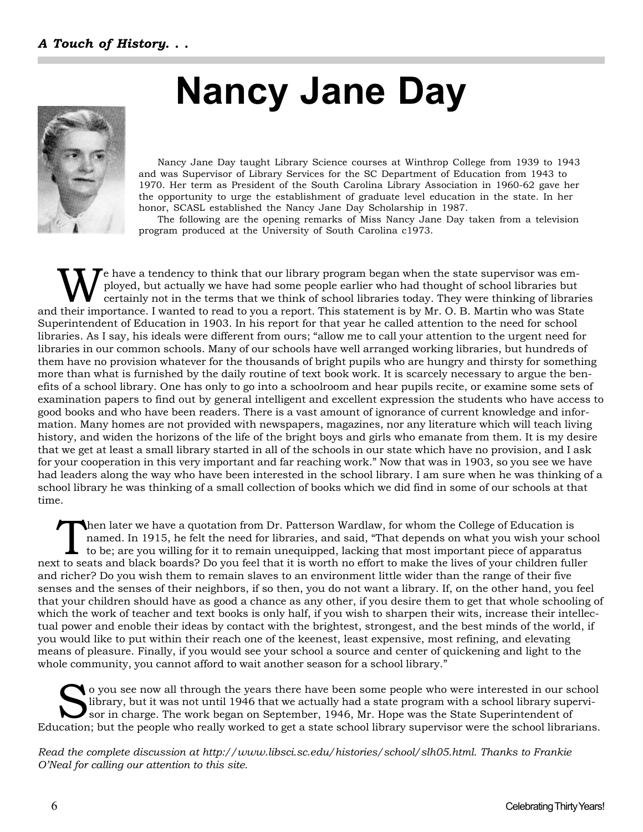# **Nancy Jane Day**



Nancy Jane Day taught Library Science courses at Winthrop College from 1939 to 1943 and was Supervisor of Library Services for the SC Department of Education from 1943 to 1970. Her term as President of the South Carolina Library Association in 1960-62 gave her the opportunity to urge the establishment of graduate level education in the state. In her honor, SCASL established the Nancy Jane Day Scholarship in 1987.

The following are the opening remarks of Miss Nancy Jane Day taken from a television program produced at the University of South Carolina c1973.

e have a tendency to think that our library program began when the state supervisor was employed, but actually we have had some people earlier who had thought of school libraries but certainly not in the terms that we think of school libraries today. They were thinking of libraries and their importance. I wanted to read to you a report. This statement is by Mr. O. B. Martin who was State Superintendent of Education in 1903. In his report for that year he called attention to the need for school libraries. As I say, his ideals were different from ours; "allow me to call your attention to the urgent need for libraries in our common schools. Many of our schools have well arranged working libraries, but hundreds of them have no provision whatever for the thousands of bright pupils who are hungry and thirsty for something more than what is furnished by the daily routine of text book work. It is scarcely necessary to argue the benefits of a school library. One has only to go into a schoolroom and hear pupils recite, or examine some sets of examination papers to find out by general intelligent and excellent expression the students who have access to good books and who have been readers. There is a vast amount of ignorance of current knowledge and information. Many homes are not provided with newspapers, magazines, nor any literature which will teach living history, and widen the horizons of the life of the bright boys and girls who emanate from them. It is my desire that we get at least a small library started in all of the schools in our state which have no provision, and I ask for your cooperation in this very important and far reaching work." Now that was in 1903, so you see we have had leaders along the way who have been interested in the school library. I am sure when he was thinking of a school library he was thinking of a small collection of books which we did find in some of our schools at that time.

Then later we have a quotation from Dr. Patterson Wardlaw, for whom the College of Education is named. In 1915, he felt the need for libraries, and said, "That depends on what you wish your school to be; are you willing for it to remain unequipped, lacking that most important piece of apparatus next to seats and black boards? Do you feel that it is worth no effort to make the lives of your children fuller and richer? Do you wish them to remain slaves to an environment little wider than the range of their five senses and the senses of their neighbors, if so then, you do not want a library. If, on the other hand, you feel that your children should have as good a chance as any other, if you desire them to get that whole schooling of which the work of teacher and text books is only half, if you wish to sharpen their wits, increase their intellectual power and enoble their ideas by contact with the brightest, strongest, and the best minds of the world, if you would like to put within their reach one of the keenest, least expensive, most refining, and elevating means of pleasure. Finally, if you would see your school a source and center of quickening and light to the whole community, you cannot afford to wait another season for a school library."

o you see now all through the years there have been some people who were interested in our school library, but it was not until 1946 that we actually had a state program with a school library supervisor in charge. The work began on September, 1946, Mr. Hope was the State Superintendent of Education; but the people who really worked to get a state school library supervisor were the school librarians.

*Read the complete discussion at http://www.libsci.sc.edu/histories/school/slh05.html. Thanks to Frankie O'Neal for calling our attention to this site.*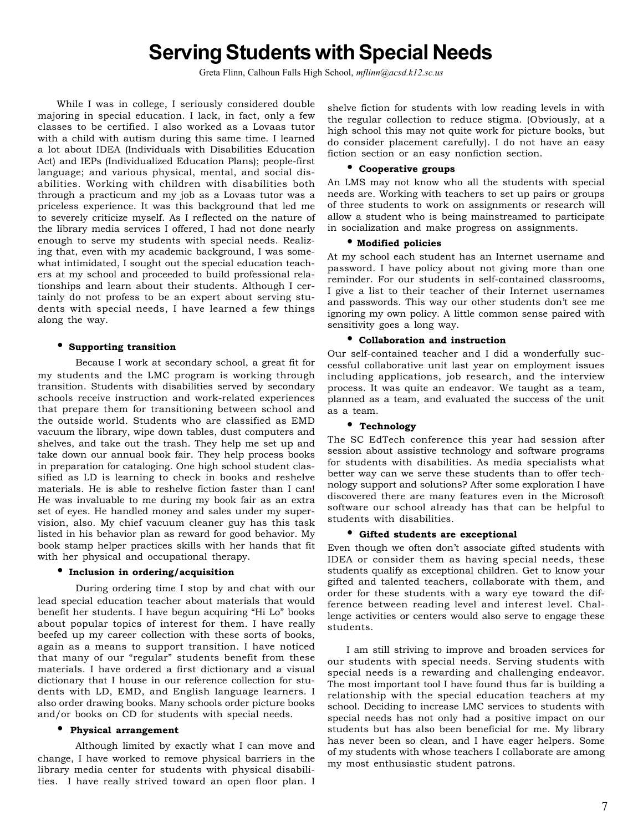# **Serving Students with Special Needs**

Greta Flinn, Calhoun Falls High School, *mflinn@acsd.k12.sc.us*

While I was in college, I seriously considered double majoring in special education. I lack, in fact, only a few classes to be certified. I also worked as a Lovaas tutor with a child with autism during this same time. I learned a lot about IDEA (Individuals with Disabilities Education Act) and IEPs (Individualized Education Plans); people-first language; and various physical, mental, and social disabilities. Working with children with disabilities both through a practicum and my job as a Lovaas tutor was a priceless experience. It was this background that led me to severely criticize myself. As I reflected on the nature of the library media services I offered, I had not done nearly enough to serve my students with special needs. Realizing that, even with my academic background, I was somewhat intimidated, I sought out the special education teachers at my school and proceeded to build professional relationships and learn about their students. Although I certainly do not profess to be an expert about serving students with special needs, I have learned a few things along the way.

#### • **Supporting transition**

Because I work at secondary school, a great fit for my students and the LMC program is working through transition. Students with disabilities served by secondary schools receive instruction and work-related experiences that prepare them for transitioning between school and the outside world. Students who are classified as EMD vacuum the library, wipe down tables, dust computers and shelves, and take out the trash. They help me set up and take down our annual book fair. They help process books in preparation for cataloging. One high school student classified as LD is learning to check in books and reshelve materials. He is able to reshelve fiction faster than I can! He was invaluable to me during my book fair as an extra set of eyes. He handled money and sales under my supervision, also. My chief vacuum cleaner guy has this task listed in his behavior plan as reward for good behavior. My book stamp helper practices skills with her hands that fit with her physical and occupational therapy.

#### • **Inclusion in ordering/acquisition**

During ordering time I stop by and chat with our lead special education teacher about materials that would benefit her students. I have begun acquiring "Hi Lo" books about popular topics of interest for them. I have really beefed up my career collection with these sorts of books, again as a means to support transition. I have noticed that many of our "regular" students benefit from these materials. I have ordered a first dictionary and a visual dictionary that I house in our reference collection for students with LD, EMD, and English language learners. I also order drawing books. Many schools order picture books and/or books on CD for students with special needs.

#### • **Physical arrangement**

Although limited by exactly what I can move and change, I have worked to remove physical barriers in the library media center for students with physical disabilities. I have really strived toward an open floor plan. I

shelve fiction for students with low reading levels in with the regular collection to reduce stigma. (Obviously, at a high school this may not quite work for picture books, but do consider placement carefully). I do not have an easy fiction section or an easy nonfiction section.

#### • **Cooperative groups**

An LMS may not know who all the students with special needs are. Working with teachers to set up pairs or groups of three students to work on assignments or research will allow a student who is being mainstreamed to participate in socialization and make progress on assignments.

#### • **Modified policies**

At my school each student has an Internet username and password. I have policy about not giving more than one reminder. For our students in self-contained classrooms, I give a list to their teacher of their Internet usernames and passwords. This way our other students don't see me ignoring my own policy. A little common sense paired with sensitivity goes a long way.

#### • **Collaboration and instruction**

Our self-contained teacher and I did a wonderfully successful collaborative unit last year on employment issues including applications, job research, and the interview process. It was quite an endeavor. We taught as a team, planned as a team, and evaluated the success of the unit as a team.

#### • **Technology**

The SC EdTech conference this year had session after session about assistive technology and software programs for students with disabilities. As media specialists what better way can we serve these students than to offer technology support and solutions? After some exploration I have discovered there are many features even in the Microsoft software our school already has that can be helpful to students with disabilities.

#### • **Gifted students are exceptional**

Even though we often don't associate gifted students with IDEA or consider them as having special needs, these students qualify as exceptional children. Get to know your gifted and talented teachers, collaborate with them, and order for these students with a wary eye toward the difference between reading level and interest level. Challenge activities or centers would also serve to engage these students.

I am still striving to improve and broaden services for our students with special needs. Serving students with special needs is a rewarding and challenging endeavor. The most important tool I have found thus far is building a relationship with the special education teachers at my school. Deciding to increase LMC services to students with special needs has not only had a positive impact on our students but has also been beneficial for me. My library has never been so clean, and I have eager helpers. Some of my students with whose teachers I collaborate are among my most enthusiastic student patrons.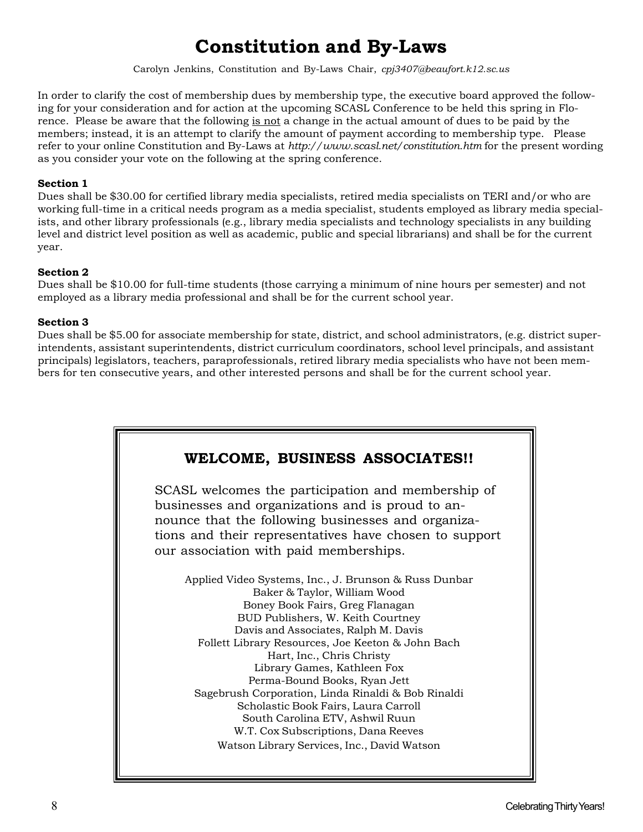# **Constitution and By-Laws**

Carolyn Jenkins, Constitution and By-Laws Chair, *cpj3407@beaufort.k12.sc.us*

In order to clarify the cost of membership dues by membership type, the executive board approved the following for your consideration and for action at the upcoming SCASL Conference to be held this spring in Florence. Please be aware that the following is not a change in the actual amount of dues to be paid by the members; instead, it is an attempt to clarify the amount of payment according to membership type. Please refer to your online Constitution and By-Laws at *http://www.scasl.net/constitution.htm* for the present wording as you consider your vote on the following at the spring conference.

#### **Section 1**

Dues shall be \$30.00 for certified library media specialists, retired media specialists on TERI and/or who are working full-time in a critical needs program as a media specialist, students employed as library media specialists, and other library professionals (e.g., library media specialists and technology specialists in any building level and district level position as well as academic, public and special librarians) and shall be for the current year.

#### **Section 2**

Dues shall be \$10.00 for full-time students (those carrying a minimum of nine hours per semester) and not employed as a library media professional and shall be for the current school year.

#### **Section 3**

Dues shall be \$5.00 for associate membership for state, district, and school administrators, (e.g. district superintendents, assistant superintendents, district curriculum coordinators, school level principals, and assistant principals) legislators, teachers, paraprofessionals, retired library media specialists who have not been members for ten consecutive years, and other interested persons and shall be for the current school year.

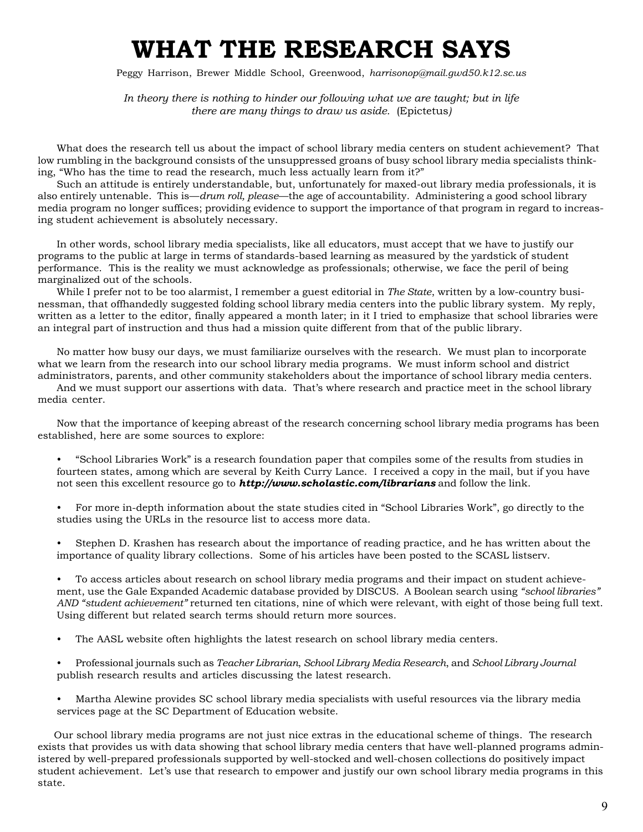# **WHAT THE RESEARCH SAYS**

Peggy Harrison, Brewer Middle School, Greenwood, *harrisonop@mail.gwd50.k12.sc.us*

*In theory there is nothing to hinder our following what we are taught; but in life there are many things to draw us aside.* (Epictetus*)*

What does the research tell us about the impact of school library media centers on student achievement? That low rumbling in the background consists of the unsuppressed groans of busy school library media specialists thinking, "Who has the time to read the research, much less actually learn from it?"

Such an attitude is entirely understandable, but, unfortunately for maxed-out library media professionals, it is also entirely untenable. This is—*drum roll, please*—the age of accountability. Administering a good school library media program no longer suffices; providing evidence to support the importance of that program in regard to increasing student achievement is absolutely necessary.

In other words, school library media specialists, like all educators, must accept that we have to justify our programs to the public at large in terms of standards-based learning as measured by the yardstick of student performance. This is the reality we must acknowledge as professionals; otherwise, we face the peril of being marginalized out of the schools.

While I prefer not to be too alarmist, I remember a guest editorial in *The State*, written by a low-country businessman, that offhandedly suggested folding school library media centers into the public library system. My reply, written as a letter to the editor, finally appeared a month later; in it I tried to emphasize that school libraries were an integral part of instruction and thus had a mission quite different from that of the public library.

No matter how busy our days, we must familiarize ourselves with the research. We must plan to incorporate what we learn from the research into our school library media programs. We must inform school and district administrators, parents, and other community stakeholders about the importance of school library media centers.

And we must support our assertions with data. That's where research and practice meet in the school library media center.

Now that the importance of keeping abreast of the research concerning school library media programs has been established, here are some sources to explore:

- "School Libraries Work" is a research foundation paper that compiles some of the results from studies in fourteen states, among which are several by Keith Curry Lance. I received a copy in the mail, but if you have not seen this excellent resource go to *http://www.scholastic.com/librarians* and follow the link.
- For more in-depth information about the state studies cited in "School Libraries Work", go directly to the studies using the URLs in the resource list to access more data.

• Stephen D. Krashen has research about the importance of reading practice, and he has written about the importance of quality library collections. Some of his articles have been posted to the SCASL listserv.

• To access articles about research on school library media programs and their impact on student achievement, use the Gale Expanded Academic database provided by DISCUS. A Boolean search using *"school libraries" AND "student achievement"* returned ten citations, nine of which were relevant, with eight of those being full text. Using different but related search terms should return more sources.

• The AASL website often highlights the latest research on school library media centers.

• Professional journals such as *Teacher Librarian*, *School Library Media Research*, and *School Library Journal* publish research results and articles discussing the latest research.

• Martha Alewine provides SC school library media specialists with useful resources via the library media services page at the SC Department of Education website.

 Our school library media programs are not just nice extras in the educational scheme of things. The research exists that provides us with data showing that school library media centers that have well-planned programs administered by well-prepared professionals supported by well-stocked and well-chosen collections do positively impact student achievement. Let's use that research to empower and justify our own school library media programs in this state.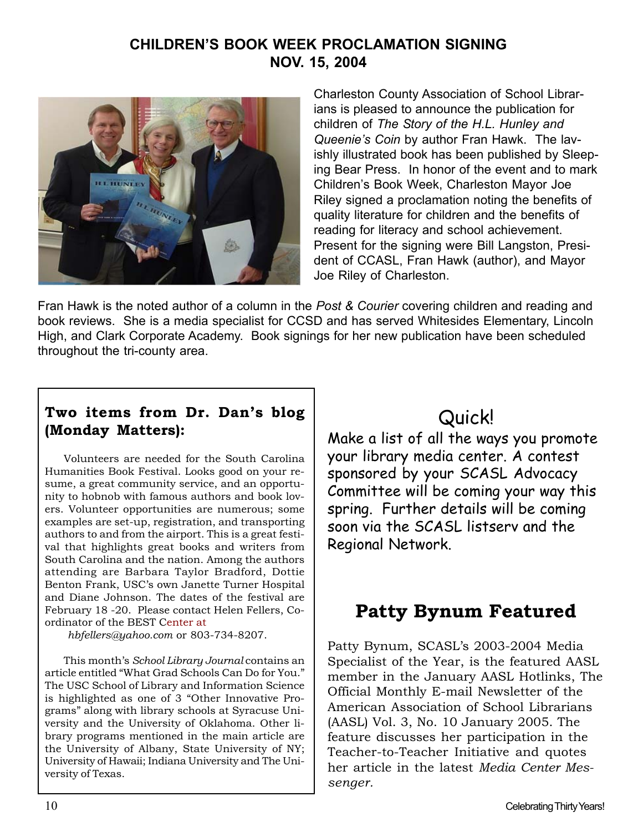### **CHILDREN'S BOOK WEEK PROCLAMATION SIGNING NOV. 15, 2004**



Charleston County Association of School Librarians is pleased to announce the publication for children of *The Story of the H.L. Hunley and Queenie's Coin* by author Fran Hawk. The lavishly illustrated book has been published by Sleeping Bear Press. In honor of the event and to mark Children's Book Week, Charleston Mayor Joe Riley signed a proclamation noting the benefits of quality literature for children and the benefits of reading for literacy and school achievement. Present for the signing were Bill Langston, President of CCASL, Fran Hawk (author), and Mayor Joe Riley of Charleston.

Fran Hawk is the noted author of a column in the *Post & Courier* covering children and reading and book reviews. She is a media specialist for CCSD and has served Whitesides Elementary, Lincoln High, and Clark Corporate Academy. Book signings for her new publication have been scheduled throughout the tri-county area.

### **Two items from Dr. Dan's blog (Monday Matters):**

Volunteers are needed for the South Carolina Humanities Book Festival. Looks good on your resume, a great community service, and an opportunity to hobnob with famous authors and book lovers. Volunteer opportunities are numerous; some examples are set-up, registration, and transporting authors to and from the airport. This is a great festival that highlights great books and writers from South Carolina and the nation. Among the authors attending are Barbara Taylor Bradford, Dottie Benton Frank, USC's own Janette Turner Hospital and Diane Johnson. The dates of the festival are February 18 -20. Please contact Helen Fellers, Coordinator of the BEST Center at

*hbfellers@yahoo.com* or 803-734-8207.

This month's *School Library Journal* contains an article entitled "What Grad Schools Can Do for You." The USC School of Library and Information Science is highlighted as one of 3 "Other Innovative Programs" along with library schools at Syracuse University and the University of Oklahoma. Other library programs mentioned in the main article are the University of Albany, State University of NY; University of Hawaii; Indiana University and The University of Texas.

# Quick!

Make a list of all the ways you promote your library media center. A contest sponsored by your SCASL Advocacy Committee will be coming your way this spring. Further details will be coming soon via the SCASL listserv and the Regional Network.

# **Patty Bynum Featured**

Patty Bynum, SCASL's 2003-2004 Media Specialist of the Year, is the featured AASL member in the January AASL Hotlinks, The Official Monthly E-mail Newsletter of the American Association of School Librarians (AASL) Vol. 3, No. 10 January 2005. The feature discusses her participation in the Teacher-to-Teacher Initiative and quotes her article in the latest *Media Center Messenger.*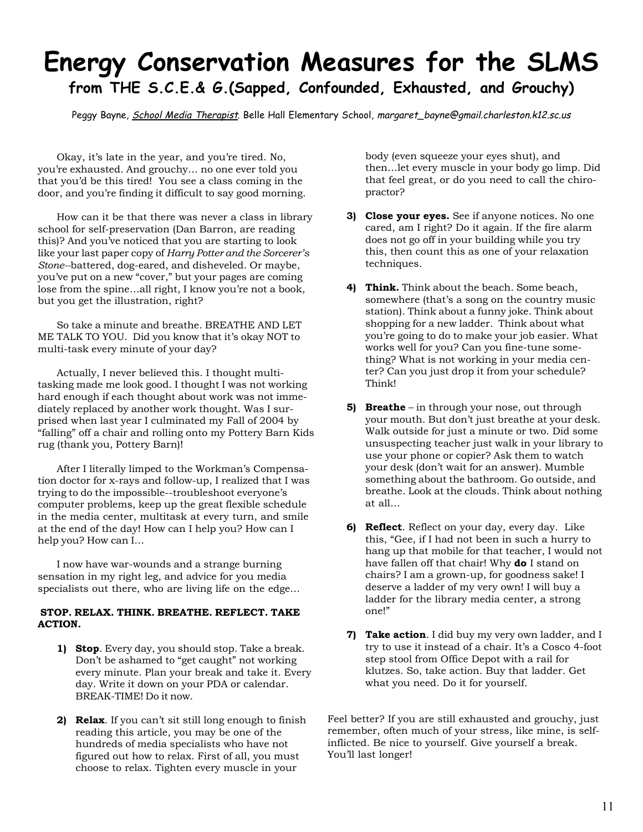# **Energy Conservation Measures for the SLMS from THE S.C.E.& G.(Sapped, Confounded, Exhausted, and Grouchy)**

Peggy Bayne, School Media Therapist*,* Belle Hall Elementary School, margaret\_bayne@gmail.charleston.k12.sc.us

Okay, it's late in the year, and you're tired. No, you're exhausted. And grouchy… no one ever told you that you'd be this tired! You see a class coming in the door, and you're finding it difficult to say good morning.

How can it be that there was never a class in library school for self-preservation (Dan Barron, are reading this)? And you've noticed that you are starting to look like your last paper copy of *Harry Potter and the Sorcerer's Stone--*battered, dog-eared, and disheveled. Or maybe, you've put on a new "cover," but your pages are coming lose from the spine…all right, I know you're not a book, but you get the illustration, right?

So take a minute and breathe. BREATHE AND LET ME TALK TO YOU. Did you know that it's okay NOT to multi-task every minute of your day?

Actually, I never believed this. I thought multitasking made me look good. I thought I was not working hard enough if each thought about work was not immediately replaced by another work thought. Was I surprised when last year I culminated my Fall of 2004 by "falling" off a chair and rolling onto my Pottery Barn Kids rug (thank you, Pottery Barn)!

After I literally limped to the Workman's Compensation doctor for x-rays and follow-up, I realized that I was trying to do the impossible--troubleshoot everyone's computer problems, keep up the great flexible schedule in the media center, multitask at every turn, and smile at the end of the day! How can I help you? How can I help you? How can I…

I now have war-wounds and a strange burning sensation in my right leg, and advice for you media specialists out there, who are living life on the edge…

#### **STOP. RELAX. THINK. BREATHE. REFLECT. TAKE ACTION.**

- **1) Stop**. Every day, you should stop. Take a break. Don't be ashamed to "get caught" not working every minute. Plan your break and take it. Every day. Write it down on your PDA or calendar. BREAK-TIME! Do it now.
- **2) Relax**. If you can't sit still long enough to finish reading this article, you may be one of the hundreds of media specialists who have not figured out how to relax. First of all, you must choose to relax. Tighten every muscle in your

body (even squeeze your eyes shut), and then…let every muscle in your body go limp. Did that feel great, or do you need to call the chiropractor?

- **3) Close your eyes.** See if anyone notices. No one cared, am I right? Do it again. If the fire alarm does not go off in your building while you try this, then count this as one of your relaxation techniques.
- **4) Think.** Think about the beach. Some beach, somewhere (that's a song on the country music station). Think about a funny joke. Think about shopping for a new ladder. Think about what you're going to do to make your job easier. What works well for you? Can you fine-tune something? What is not working in your media center? Can you just drop it from your schedule? Think!
- **5) Breathe** in through your nose, out through your mouth. But don't just breathe at your desk. Walk outside for just a minute or two. Did some unsuspecting teacher just walk in your library to use your phone or copier? Ask them to watch your desk (don't wait for an answer). Mumble something about the bathroom. Go outside, and breathe. Look at the clouds. Think about nothing at all…
- **6) Reflect**. Reflect on your day, every day. Like this, "Gee, if I had not been in such a hurry to hang up that mobile for that teacher, I would not have fallen off that chair! Why **do** I stand on chairs? I am a grown-up, for goodness sake! I deserve a ladder of my very own! I will buy a ladder for the library media center, a strong one!"
- **7) Take action**. I did buy my very own ladder, and I try to use it instead of a chair. It's a Cosco 4-foot step stool from Office Depot with a rail for klutzes. So, take action. Buy that ladder. Get what you need. Do it for yourself.

Feel better? If you are still exhausted and grouchy, just remember, often much of your stress, like mine, is selfinflicted. Be nice to yourself. Give yourself a break. You'll last longer!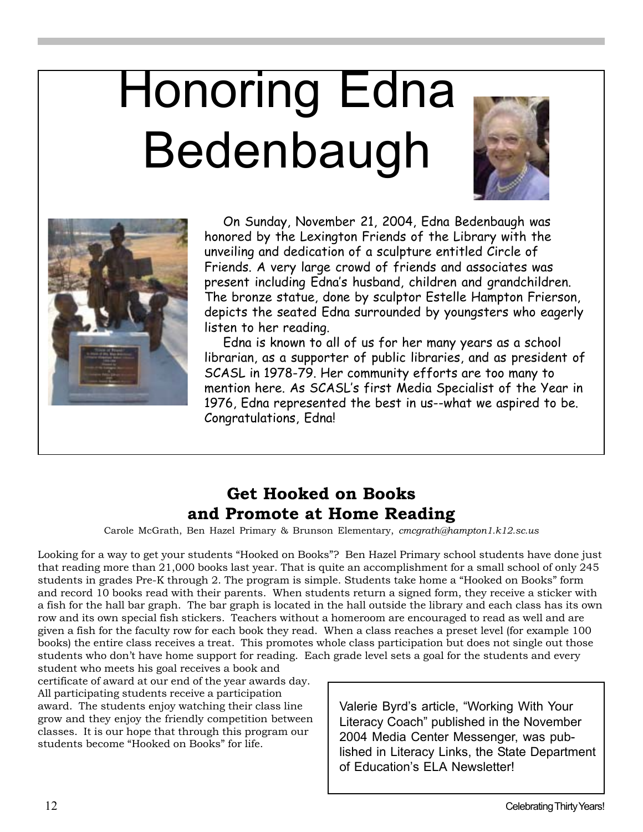# Honoring Edna Bedenbaugh





On Sunday, November 21, 2004, Edna Bedenbaugh was honored by the Lexington Friends of the Library with the unveiling and dedication of a sculpture entitled Circle of Friends. A very large crowd of friends and associates was present including Edna's husband, children and grandchildren. The bronze statue, done by sculptor Estelle Hampton Frierson, depicts the seated Edna surrounded by youngsters who eagerly listen to her reading.

Edna is known to all of us for her many years as a school librarian, as a supporter of public libraries, and as president of SCASL in 1978-79. Her community efforts are too many to mention here. As SCASL's first Media Specialist of the Year in 1976, Edna represented the best in us--what we aspired to be. Congratulations, Edna!

### **Get Hooked on Books and Promote at Home Reading**

Carole McGrath, Ben Hazel Primary & Brunson Elementary, *cmcgrath@hampton1.k12.sc.us*

Looking for a way to get your students "Hooked on Books"? Ben Hazel Primary school students have done just that reading more than 21,000 books last year. That is quite an accomplishment for a small school of only 245 students in grades Pre-K through 2. The program is simple. Students take home a "Hooked on Books" form and record 10 books read with their parents. When students return a signed form, they receive a sticker with a fish for the hall bar graph. The bar graph is located in the hall outside the library and each class has its own row and its own special fish stickers. Teachers without a homeroom are encouraged to read as well and are given a fish for the faculty row for each book they read. When a class reaches a preset level (for example 100 books) the entire class receives a treat. This promotes whole class participation but does not single out those students who don't have home support for reading. Each grade level sets a goal for the students and every

student who meets his goal receives a book and certificate of award at our end of the year awards day. All participating students receive a participation award. The students enjoy watching their class line grow and they enjoy the friendly competition between classes. It is our hope that through this program our students become "Hooked on Books" for life.

Valerie Byrd's article, "Working With Your Literacy Coach" published in the November 2004 Media Center Messenger, was published in Literacy Links, the State Department of Education's ELA Newsletter!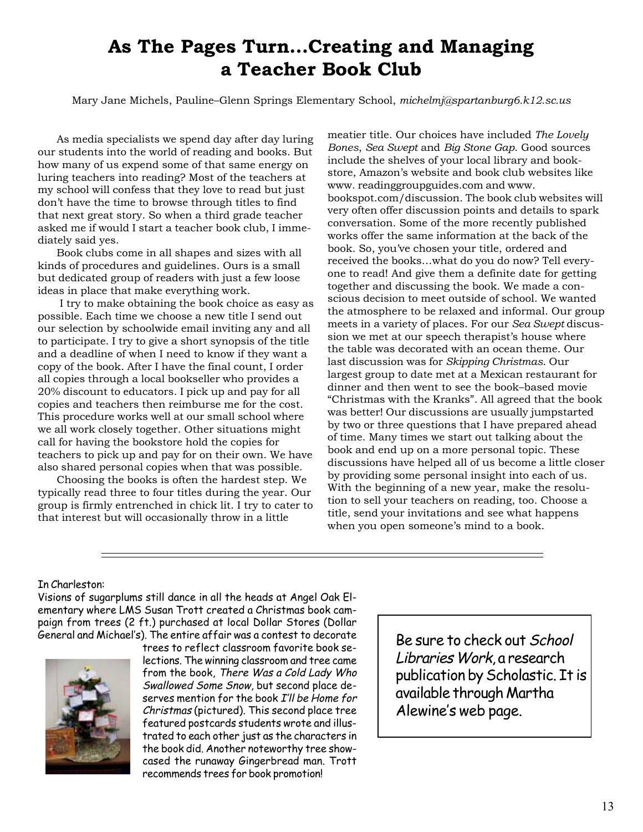# **As The Pages Turn…Creating and Managing a Teacher Book Club**

Mary Jane Michels, Pauline–Glenn Springs Elementary School, *michelmj@spartanburg6.k12.sc.us*

As media specialists we spend day after day luring our students into the world of reading and books. But how many of us expend some of that same energy on luring teachers into reading? Most of the teachers at my school will confess that they love to read but just don't have the time to browse through titles to find that next great story. So when a third grade teacher asked me if would I start a teacher book club, I immediately said yes.

Book clubs come in all shapes and sizes with all kinds of procedures and guidelines. Ours is a small but dedicated group of readers with just a few loose ideas in place that make everything work.

 I try to make obtaining the book choice as easy as possible. Each time we choose a new title I send out our selection by schoolwide email inviting any and all to participate. I try to give a short synopsis of the title and a deadline of when I need to know if they want a copy of the book. After I have the final count, I order all copies through a local bookseller who provides a 20% discount to educators. I pick up and pay for all copies and teachers then reimburse me for the cost. This procedure works well at our small school where we all work closely together. Other situations might call for having the bookstore hold the copies for teachers to pick up and pay for on their own. We have also shared personal copies when that was possible.

Choosing the books is often the hardest step. We typically read three to four titles during the year. Our group is firmly entrenched in chick lit. I try to cater to that interest but will occasionally throw in a little

meatier title. Our choices have included *The Lovely Bones*, *Sea Swept* and *Big Stone Gap*. Good sources include the shelves of your local library and bookstore, Amazon's website and book club websites like www. readinggroupguides.com and www. bookspot.com/discussion. The book club websites will very often offer discussion points and details to spark conversation. Some of the more recently published works offer the same information at the back of the book. So, you've chosen your title, ordered and received the books…what do you do now? Tell everyone to read! And give them a definite date for getting together and discussing the book. We made a conscious decision to meet outside of school. We wanted the atmosphere to be relaxed and informal. Our group meets in a variety of places. For our *Sea Swept* discussion we met at our speech therapist's house where the table was decorated with an ocean theme. Our last discussion was for *Skipping Christmas*. Our largest group to date met at a Mexican restaurant for dinner and then went to see the book–based movie "Christmas with the Kranks". All agreed that the book was better! Our discussions are usually jumpstarted by two or three questions that I have prepared ahead of time. Many times we start out talking about the book and end up on a more personal topic. These discussions have helped all of us become a little closer by providing some personal insight into each of us. With the beginning of a new year, make the resolution to sell your teachers on reading, too. Choose a title, send your invitations and see what happens when you open someone's mind to a book.

#### In Charleston:

Visions of sugarplums still dance in all the heads at Angel Oak Elementary where LMS Susan Trott created a Christmas book campaign from trees (2 ft.) purchased at local Dollar Stores (Dollar General and Michael's). The entire affair was a contest to decorate



trees to reflect classroom favorite book selections. The winning classroom and tree came from the book, There Was a Cold Lady Who Swallowed Some Snow, but second place deserves mention for the book I'll be Home for Christmas (pictured). This second place tree featured postcards students wrote and illustrated to each other just as the characters in the book did. Another noteworthy tree showcased the runaway Gingerbread man. Trott recommends trees for book promotion!

Be sure to check out School Libraries Work, a research publication by Scholastic. It is available through Martha Alewine's web page.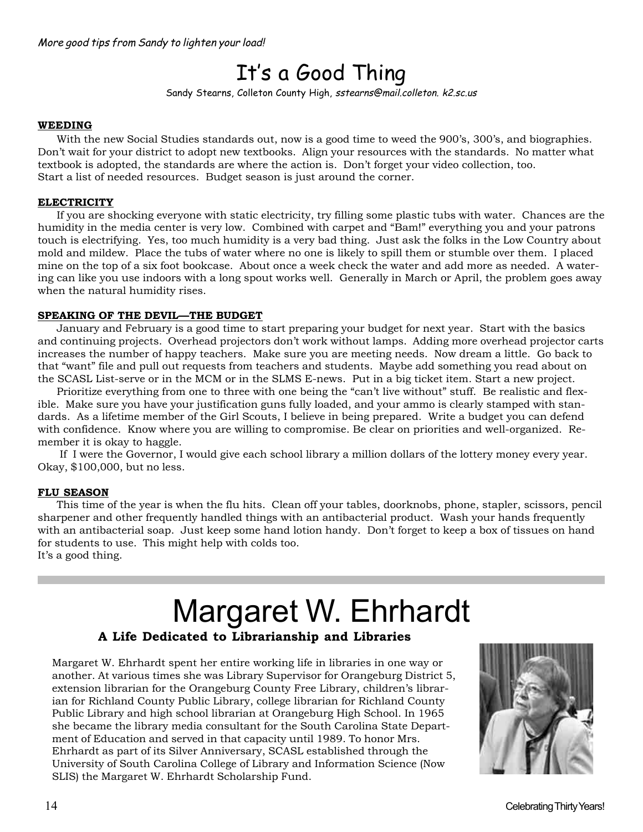# It's a Good Thing

Sandy Stearns, Colleton County High, sstearns@mail.colleton. k2.sc.us

#### **WEEDING**

With the new Social Studies standards out, now is a good time to weed the 900's, 300's, and biographies. Don't wait for your district to adopt new textbooks. Align your resources with the standards. No matter what textbook is adopted, the standards are where the action is. Don't forget your video collection, too. Start a list of needed resources. Budget season is just around the corner.

#### **ELECTRICITY**

If you are shocking everyone with static electricity, try filling some plastic tubs with water. Chances are the humidity in the media center is very low. Combined with carpet and "Bam!" everything you and your patrons touch is electrifying. Yes, too much humidity is a very bad thing. Just ask the folks in the Low Country about mold and mildew. Place the tubs of water where no one is likely to spill them or stumble over them. I placed mine on the top of a six foot bookcase. About once a week check the water and add more as needed. A watering can like you use indoors with a long spout works well. Generally in March or April, the problem goes away when the natural humidity rises.

#### **SPEAKING OF THE DEVIL—THE BUDGET**

January and February is a good time to start preparing your budget for next year. Start with the basics and continuing projects. Overhead projectors don't work without lamps. Adding more overhead projector carts increases the number of happy teachers. Make sure you are meeting needs. Now dream a little. Go back to that "want" file and pull out requests from teachers and students. Maybe add something you read about on the SCASL List-serve or in the MCM or in the SLMS E-news. Put in a big ticket item. Start a new project.

Prioritize everything from one to three with one being the "can't live without" stuff. Be realistic and flexible. Make sure you have your justification guns fully loaded, and your ammo is clearly stamped with standards. As a lifetime member of the Girl Scouts, I believe in being prepared. Write a budget you can defend with confidence. Know where you are willing to compromise. Be clear on priorities and well-organized. Remember it is okay to haggle.

 If I were the Governor, I would give each school library a million dollars of the lottery money every year. Okay, \$100,000, but no less.

#### **FLU SEASON**

This time of the year is when the flu hits. Clean off your tables, doorknobs, phone, stapler, scissors, pencil sharpener and other frequently handled things with an antibacterial product. Wash your hands frequently with an antibacterial soap. Just keep some hand lotion handy. Don't forget to keep a box of tissues on hand for students to use. This might help with colds too. It's a good thing.

# **A Life Dedicated to Librarianship and Libraries** Margaret W. Ehrhardt

Margaret W. Ehrhardt spent her entire working life in libraries in one way or another. At various times she was Library Supervisor for Orangeburg District 5, extension librarian for the Orangeburg County Free Library, children's librarian for Richland County Public Library, college librarian for Richland County Public Library and high school librarian at Orangeburg High School. In 1965 she became the library media consultant for the South Carolina State Department of Education and served in that capacity until 1989. To honor Mrs. Ehrhardt as part of its Silver Anniversary, SCASL established through the University of South Carolina College of Library and Information Science (Now SLIS) the Margaret W. Ehrhardt Scholarship Fund.

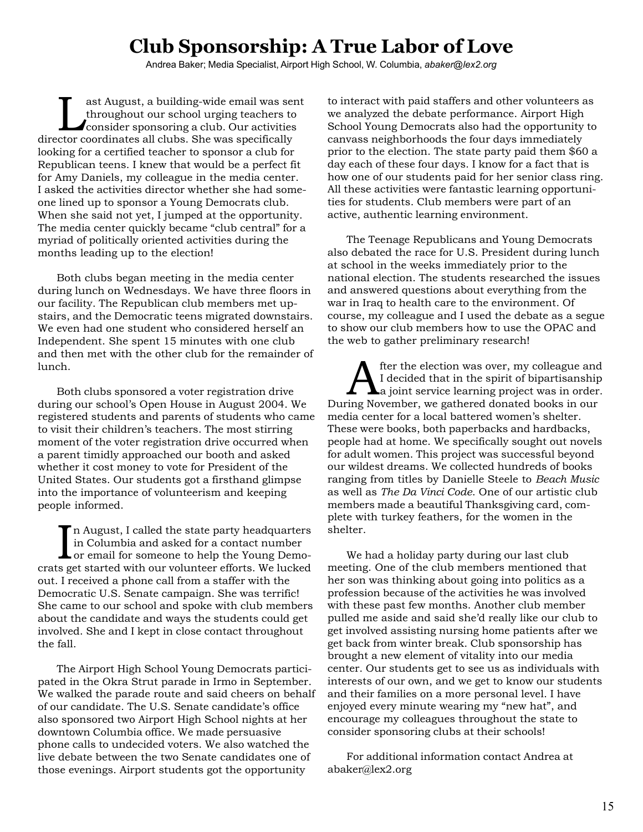# **Club Sponsorship: A True Labor of Love**

Andrea Baker; Media Specialist, Airport High School, W. Columbia, *abaker@lex2.org*

Last August, a building-wide email was sent<br>throughout our school urging teachers to<br>consider sponsoring a club. Our activities throughout our school urging teachers to director coordinates all clubs. She was specifically looking for a certified teacher to sponsor a club for Republican teens. I knew that would be a perfect fit for Amy Daniels, my colleague in the media center. I asked the activities director whether she had someone lined up to sponsor a Young Democrats club. When she said not yet, I jumped at the opportunity. The media center quickly became "club central" for a myriad of politically oriented activities during the months leading up to the election!

Both clubs began meeting in the media center during lunch on Wednesdays. We have three floors in our facility. The Republican club members met upstairs, and the Democratic teens migrated downstairs. We even had one student who considered herself an Independent. She spent 15 minutes with one club and then met with the other club for the remainder of lunch.

Both clubs sponsored a voter registration drive during our school's Open House in August 2004. We registered students and parents of students who came to visit their children's teachers. The most stirring moment of the voter registration drive occurred when a parent timidly approached our booth and asked whether it cost money to vote for President of the United States. Our students got a firsthand glimpse into the importance of volunteerism and keeping people informed.

In August, I called the state party headquarters<br>in Columbia and asked for a contact number<br>or email for someone to help the Young Demo-<br>so get started with our volunteer efforts. We lucked n August, I called the state party headquarters in Columbia and asked for a contact number crats get started with our volunteer efforts. We lucked out. I received a phone call from a staffer with the Democratic U.S. Senate campaign. She was terrific! She came to our school and spoke with club members about the candidate and ways the students could get involved. She and I kept in close contact throughout the fall.

The Airport High School Young Democrats participated in the Okra Strut parade in Irmo in September. We walked the parade route and said cheers on behalf of our candidate. The U.S. Senate candidate's office also sponsored two Airport High School nights at her downtown Columbia office. We made persuasive phone calls to undecided voters. We also watched the live debate between the two Senate candidates one of those evenings. Airport students got the opportunity

to interact with paid staffers and other volunteers as we analyzed the debate performance. Airport High School Young Democrats also had the opportunity to canvass neighborhoods the four days immediately prior to the election. The state party paid them \$60 a day each of these four days. I know for a fact that is how one of our students paid for her senior class ring. All these activities were fantastic learning opportunities for students. Club members were part of an active, authentic learning environment.

The Teenage Republicans and Young Democrats also debated the race for U.S. President during lunch at school in the weeks immediately prior to the national election. The students researched the issues and answered questions about everything from the war in Iraq to health care to the environment. Of course, my colleague and I used the debate as a segue to show our club members how to use the OPAC and the web to gather preliminary research!

After the election was over, my colleague and<br>I decided that in the spirit of bipartisanship<br>a joint service learning project was in order. I decided that in the spirit of bipartisanship a joint service learning project was in order. During November, we gathered donated books in our media center for a local battered women's shelter. These were books, both paperbacks and hardbacks, people had at home. We specifically sought out novels for adult women. This project was successful beyond our wildest dreams. We collected hundreds of books ranging from titles by Danielle Steele to *Beach Music* as well as *The Da Vinci Code*. One of our artistic club members made a beautiful Thanksgiving card, complete with turkey feathers, for the women in the shelter.

We had a holiday party during our last club meeting. One of the club members mentioned that her son was thinking about going into politics as a profession because of the activities he was involved with these past few months. Another club member pulled me aside and said she'd really like our club to get involved assisting nursing home patients after we get back from winter break. Club sponsorship has brought a new element of vitality into our media center. Our students get to see us as individuals with interests of our own, and we get to know our students and their families on a more personal level. I have enjoyed every minute wearing my "new hat", and encourage my colleagues throughout the state to consider sponsoring clubs at their schools!

For additional information contact Andrea at abaker@lex2.org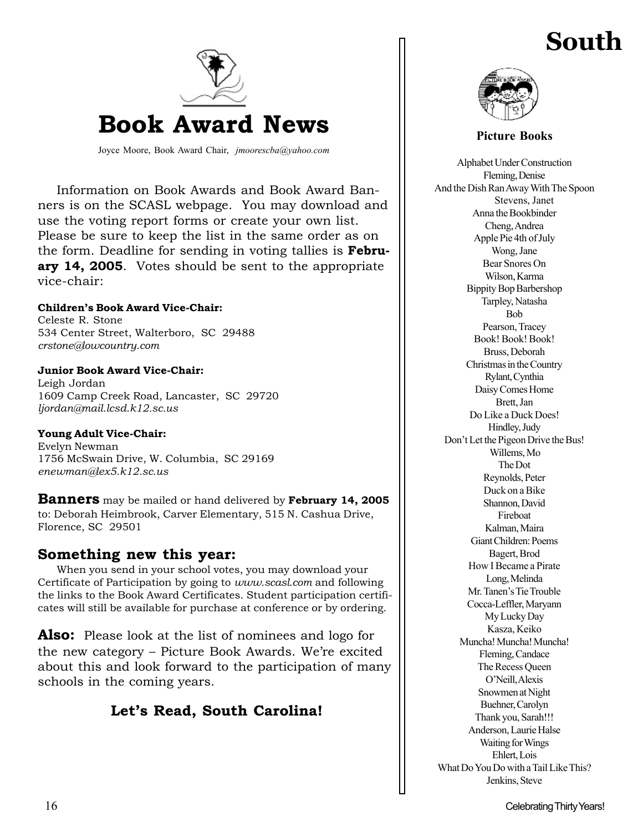# **South**



Joyce Moore, Book Award Chair, *jmoorescba@yahoo.com*

Information on Book Awards and Book Award Banners is on the SCASL webpage. You may download and use the voting report forms or create your own list. Please be sure to keep the list in the same order as on the form. Deadline for sending in voting tallies is **February 14, 2005**. Votes should be sent to the appropriate vice-chair:

#### **Children's Book Award Vice-Chair:**

Celeste R. Stone 534 Center Street, Walterboro, SC 29488 *crstone@lowcountry.com*

#### **Junior Book Award Vice-Chair:**

Leigh Jordan 1609 Camp Creek Road, Lancaster, SC 29720 *ljordan@mail.lcsd.k12.sc.us*

#### **Young Adult Vice-Chair:**

Evelyn Newman 1756 McSwain Drive, W. Columbia, SC 29169 *enewman@lex5.k12.sc.us*

**Banners** may be mailed or hand delivered by **February 14, 2005** to: Deborah Heimbrook, Carver Elementary, 515 N. Cashua Drive, Florence, SC 29501

#### **Something new this year:**

When you send in your school votes, you may download your Certificate of Participation by going to *www.scasl.com* and following the links to the Book Award Certificates. Student participation certificates will still be available for purchase at conference or by ordering.

**Also:** Please look at the list of nominees and logo for the new category – Picture Book Awards. We're excited about this and look forward to the participation of many schools in the coming years.

### **Let's Read, South Carolina!**



**Picture Books**

Alphabet Under Construction Fleming, Denise And the Dish Ran Away With The Spoon Stevens, Janet Anna the Bookbinder Cheng, Andrea Apple Pie 4th of July Wong, Jane Bear Snores On Wilson, Karma Bippity Bop Barbershop Tarpley, Natasha Bob Pearson, Tracey Book! Book! Book! Bruss, Deborah Christmas in the Country Rylant, Cynthia Daisy Comes Home Brett, Jan Do Like a Duck Does! Hindley, Judy Don't Let the Pigeon Drive the Bus! Willems, Mo The Dot Reynolds, Peter Duck on a Bike Shannon, David Fireboat Kalman, Maira Giant Children: Poems Bagert, Brod How I Became a Pirate Long, Melinda Mr. Tanen's Tie Trouble Cocca-Leffler, Maryann My Lucky Day Kasza, Keiko Muncha! Muncha! Muncha! Fleming, Candace The Recess Queen O'Neill, Alexis Snowmen at Night Buehner, Carolyn Thank you, Sarah!!! Anderson, Laurie Halse Waiting for Wings Ehlert, Lois What Do You Do with a Tail Like This? Jenkins, Steve

16 Celebrating Thirty Years!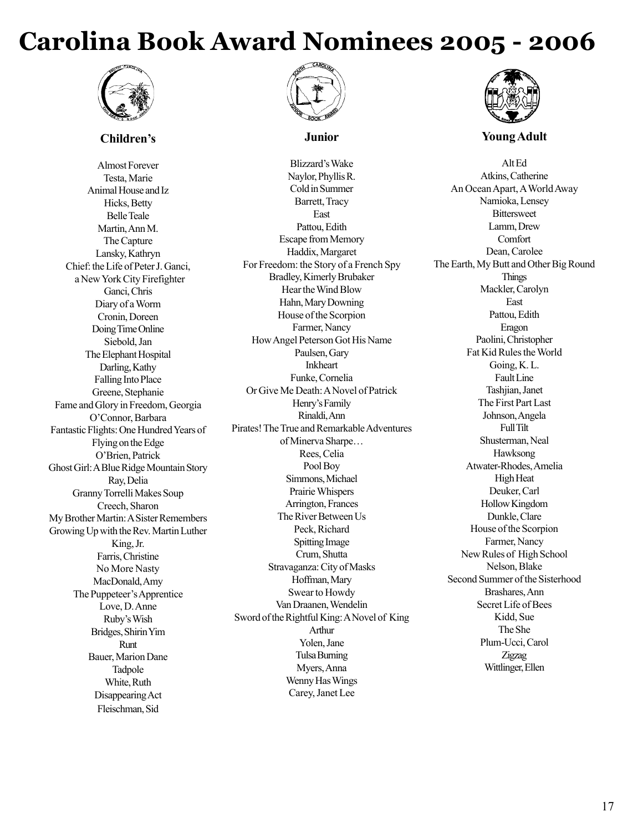# **Carolina Book Award Nominees 2005 - 2006**



#### **Children's**

Almost Forever Testa, Marie Animal House and Iz Hicks, Betty Belle Teale Martin, Ann M. The Capture Lansky, Kathryn Chief: the Life of Peter J. Ganci, a New York City Firefighter Ganci, Chris Diary of a Worm Cronin, Doreen Doing Time Online Siebold, Jan The Elephant Hospital Darling, Kathy Falling Into Place Greene, Stephanie Fame and Glory in Freedom, Georgia O'Connor, Barbara Fantastic Flights: One Hundred Years of Flying on the Edge O'Brien, Patrick Ghost Girl: A Blue Ridge Mountain Story Ray, Delia Granny Torrelli Makes Soup Creech, Sharon My Brother Martin: A Sister Remembers Growing Up with the Rev. Martin Luther King, Jr. Farris, Christine No More Nasty MacDonald, Amy The Puppeteer's Apprentice Love, D. Anne Ruby's Wish Bridges, Shirin Yim Runt Bauer, Marion Dane Tadpole White, Ruth Disappearing Act Fleischman, Sid



#### **Junior**

Blizzard's Wake Naylor, Phyllis R. Cold in Summer Barrett, Tracy East Pattou, Edith Escape from Memory Haddix, Margaret For Freedom: the Story of a French Spy Bradley, Kimerly Brubaker Hear the Wind Blow Hahn, Mary Downing House of the Scorpion Farmer, Nancy How Angel Peterson Got His Name Paulsen, Gary Inkheart Funke, Cornelia Or Give Me Death: A Novel of Patrick Henry's Family Rinaldi, Ann Pirates! The True and Remarkable Adventures of Minerva Sharpe… Rees, Celia Pool Boy Simmons, Michael Prairie Whispers Arrington, Frances The River Between Us Peck, Richard Spitting Image Crum, Shutta Stravaganza: City of Masks Hoffman, Mary Swear to Howdy Van Draanen, Wendelin Sword of the Rightful King: A Novel of King Arthur Yolen, Jane Tulsa Burning Myers, Anna Wenny Has Wings Carey, Janet Lee



#### **Young Adult**

Alt Ed Atkins, Catherine An Ocean Apart, A World Away Namioka, Lensey **Bittersweet** Lamm, Drew **Comfort** Dean, Carolee The Earth, My Butt and Other Big Round Things Mackler, Carolyn East Pattou, Edith Eragon Paolini, Christopher Fat Kid Rules the World Going, K. L. Fault Line Tashjian, Janet The First Part Last Johnson, Angela Full Tilt Shusterman, Neal Hawksong Atwater-Rhodes, Amelia High Heat Deuker, Carl Hollow Kingdom Dunkle, Clare House of the Scorpion Farmer, Nancy New Rules of High School Nelson, Blake Second Summer of the Sisterhood Brashares, Ann Secret Life of Bees Kidd, Sue The She Plum-Ucci, Carol Zigzag Wittlinger, Ellen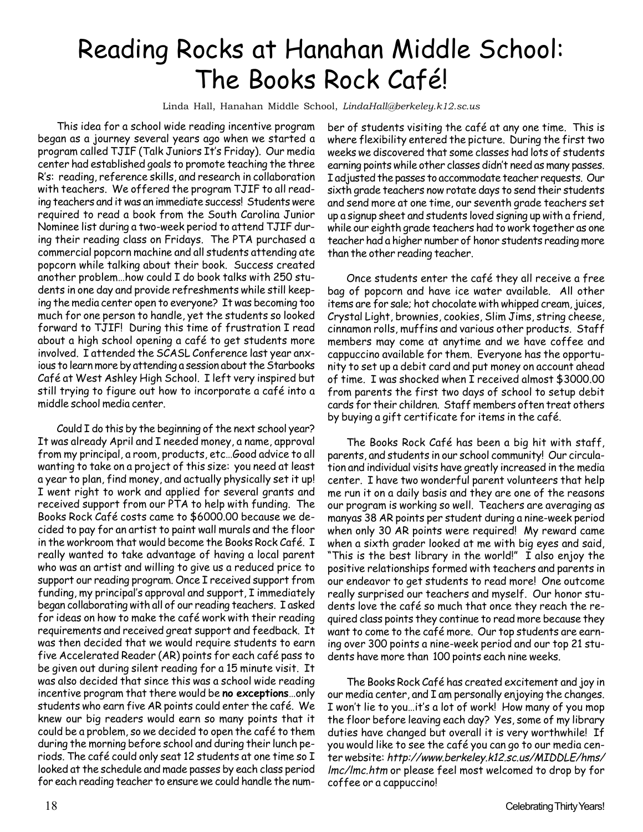# Reading Rocks at Hanahan Middle School: The Books Rock Café!

Linda Hall, Hanahan Middle School, *LindaHall@berkeley.k12.sc.us*

This idea for a school wide reading incentive program began as a journey several years ago when we started a program called TJIF (Talk Juniors It's Friday). Our media center had established goals to promote teaching the three R's: reading, reference skills, and research in collaboration with teachers. We offered the program TJIF to all reading teachers and it was an immediate success! Students were required to read a book from the South Carolina Junior Nominee list during a two-week period to attend TJIF during their reading class on Fridays. The PTA purchased a commercial popcorn machine and all students attending ate popcorn while talking about their book. Success created another problem…how could I do book talks with 250 students in one day and provide refreshments while still keeping the media center open to everyone? It was becoming too much for one person to handle, yet the students so looked forward to TJIF! During this time of frustration I read about a high school opening a café to get students more involved. I attended the SCASL Conference last year anxious to learn more by attending a session about the Starbooks Café at West Ashley High School. I left very inspired but still trying to figure out how to incorporate a café into a middle school media center.

Could I do this by the beginning of the next school year? It was already April and I needed money, a name, approval from my principal, a room, products, etc…Good advice to all wanting to take on a project of this size: you need at least a year to plan, find money, and actually physically set it up! I went right to work and applied for several grants and received support from our PTA to help with funding. The Books Rock Café costs came to \$6000.00 because we decided to pay for an artist to paint wall murals and the floor in the workroom that would become the Books Rock Café. I really wanted to take advantage of having a local parent who was an artist and willing to give us a reduced price to support our reading program. Once I received support from funding, my principal's approval and support, I immediately began collaborating with all of our reading teachers. I asked for ideas on how to make the café work with their reading requirements and received great support and feedback. It was then decided that we would require students to earn five Accelerated Reader (AR) points for each café pass to be given out during silent reading for a 15 minute visit. It was also decided that since this was a school wide reading incentive program that there would be **no exceptions**…only students who earn five AR points could enter the café. We knew our big readers would earn so many points that it could be a problem, so we decided to open the café to them during the morning before school and during their lunch periods. The café could only seat 12 students at one time so I looked at the schedule and made passes by each class period for each reading teacher to ensure we could handle the number of students visiting the café at any one time. This is where flexibility entered the picture. During the first two weeks we discovered that some classes had lots of students earning points while other classes didn't need as many passes. I adjusted the passes to accommodate teacher requests. Our sixth grade teachers now rotate days to send their students and send more at one time, our seventh grade teachers set up a signup sheet and students loved signing up with a friend, while our eighth grade teachers had to work together as one teacher had a higher number of honor students reading more than the other reading teacher.

Once students enter the café they all receive a free bag of popcorn and have ice water available. All other items are for sale; hot chocolate with whipped cream, juices, Crystal Light, brownies, cookies, Slim Jims, string cheese, cinnamon rolls, muffins and various other products. Staff members may come at anytime and we have coffee and cappuccino available for them. Everyone has the opportunity to set up a debit card and put money on account ahead of time. I was shocked when I received almost \$3000.00 from parents the first two days of school to setup debit cards for their children. Staff members often treat others by buying a gift certificate for items in the café.

The Books Rock Café has been a big hit with staff, parents, and students in our school community! Our circulation and individual visits have greatly increased in the media center. I have two wonderful parent volunteers that help me run it on a daily basis and they are one of the reasons our program is working so well. Teachers are averaging as manyas 38 AR points per student during a nine-week period when only 30 AR points were required! My reward came when a sixth grader looked at me with big eyes and said, "This is the best library in the world!" I also enjoy the positive relationships formed with teachers and parents in our endeavor to get students to read more! One outcome really surprised our teachers and myself. Our honor students love the café so much that once they reach the required class points they continue to read more because they want to come to the café more. Our top students are earning over 300 points a nine-week period and our top 21 students have more than 100 points each nine weeks.

The Books Rock Café has created excitement and joy in our media center, and I am personally enjoying the changes. I won't lie to you…it's a lot of work! How many of you mop the floor before leaving each day? Yes, some of my library duties have changed but overall it is very worthwhile! If you would like to see the café you can go to our media center website: http://www.berkeley.k12.sc.us/MIDDLE/hms/ lmc/lmc.htm or please feel most welcomed to drop by for coffee or a cappuccino!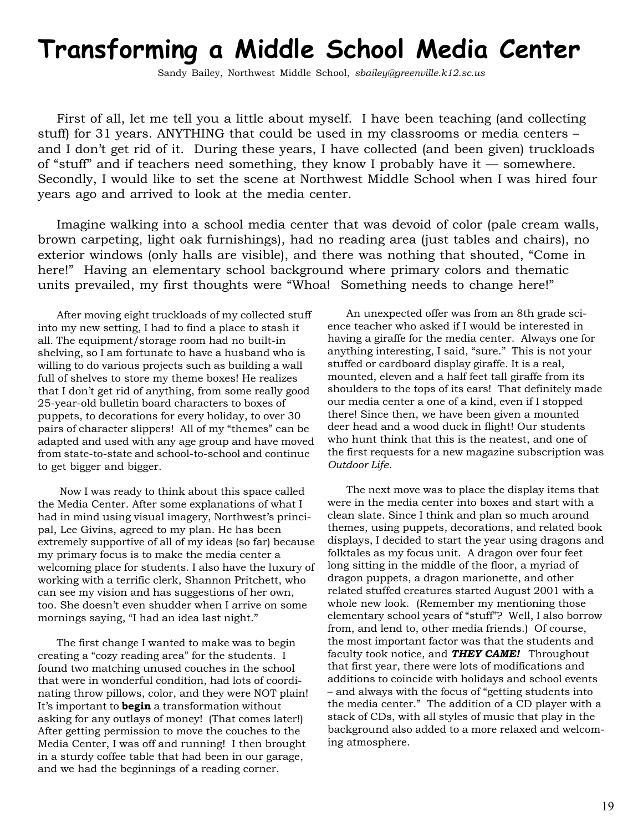# **Transforming a Middle School Media Center**

Sandy Bailey, Northwest Middle School, *sbailey@greenville.k12.sc.us*

First of all, let me tell you a little about myself. I have been teaching (and collecting stuff) for 31 years. ANYTHING that could be used in my classrooms or media centers – and I don't get rid of it. During these years, I have collected (and been given) truckloads of "stuff" and if teachers need something, they know I probably have it — somewhere. Secondly, I would like to set the scene at Northwest Middle School when I was hired four years ago and arrived to look at the media center.

Imagine walking into a school media center that was devoid of color (pale cream walls, brown carpeting, light oak furnishings), had no reading area (just tables and chairs), no exterior windows (only halls are visible), and there was nothing that shouted, "Come in here!" Having an elementary school background where primary colors and thematic units prevailed, my first thoughts were "Whoa! Something needs to change here!"

After moving eight truckloads of my collected stuff into my new setting, I had to find a place to stash it all*.* The equipment/storage room had no built-in shelving, so I am fortunate to have a husband who is willing to do various projects such as building a wall full of shelves to store my theme boxes! He realizes that I don't get rid of anything, from some really good 25-year-old bulletin board characters to boxes of puppets, to decorations for every holiday, to over 30 pairs of character slippers! All of my "themes" can be adapted and used with any age group and have moved from state-to-state and school-to-school and continue to get bigger and bigger.

 Now I was ready to think about this space called the Media Center. After some explanations of what I had in mind using visual imagery, Northwest's principal, Lee Givins, agreed to my plan. He has been extremely supportive of all of my ideas (so far) because my primary focus is to make the media center a welcoming place for students. I also have the luxury of working with a terrific clerk, Shannon Pritchett, who can see my vision and has suggestions of her own, too. She doesn't even shudder when I arrive on some mornings saying, "I had an idea last night."

The first change I wanted to make was to begin creating a "cozy reading area" for the students. I found two matching unused couches in the school that were in wonderful condition, had lots of coordinating throw pillows, color, and they were NOT plain! It's important to **begin** a transformation without asking for any outlays of money! (That comes later!) After getting permission to move the couches to the Media Center, I was off and running! I then brought in a sturdy coffee table that had been in our garage, and we had the beginnings of a reading corner.

An unexpected offer was from an 8th grade science teacher who asked if I would be interested in having a giraffe for the media center. Always one for anything interesting, I said, "sure." This is not your stuffed or cardboard display giraffe. It is a real, mounted, eleven and a half feet tall giraffe from its shoulders to the tops of its ears! That definitely made our media center a one of a kind, even if I stopped there! Since then, we have been given a mounted deer head and a wood duck in flight! Our students who hunt think that this is the neatest, and one of the first requests for a new magazine subscription was *Outdoor Life*.

The next move was to place the display items that were in the media center into boxes and start with a clean slate. Since I think and plan so much around themes, using puppets, decorations, and related book displays, I decided to start the year using dragons and folktales as my focus unit.A dragon over four feet long sitting in the middle of the floor, a myriad of dragon puppets, a dragon marionette, and other related stuffed creatures started August 2001 with a whole new look. (Remember my mentioning those elementary school years of "stuff"? Well, I also borrow from, and lend to, other media friends.) Of course, the most important factor was that the students and faculty took notice, and *THEY CAME!* Throughout that first year, there were lots of modifications and additions to coincide with holidays and school events – and always with the focus of "getting students into the media center." The addition of a CD player with a stack of CDs, with all styles of music that play in the background also added to a more relaxed and welcoming atmosphere.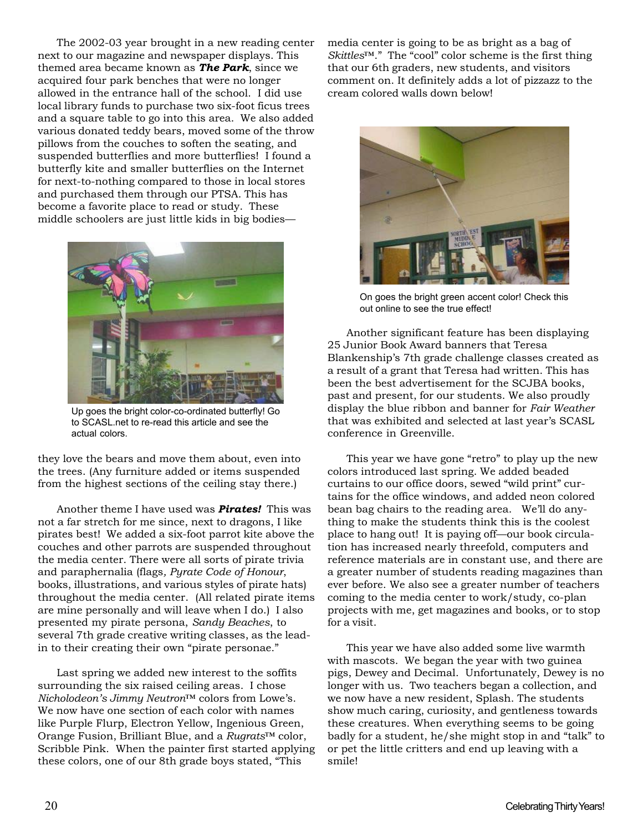The 2002-03 year brought in a new reading center next to our magazine and newspaper displays. This themed area became known as *The Park*, since we acquired four park benches that were no longer allowed in the entrance hall of the school. I did use local library funds to purchase two six-foot ficus trees and a square table to go into this area. We also added various donated teddy bears, moved some of the throw pillows from the couches to soften the seating, and suspended butterflies and more butterflies! I found a butterfly kite and smaller butterflies on the Internet for next-to-nothing compared to those in local stores and purchased them through our PTSA. This has become a favorite place to read or study. These middle schoolers are just little kids in big bodies—



Up goes the bright color-co-ordinated butterfly! Go to SCASL.net to re-read this article and see the actual colors.

they love the bears and move them about, even into the trees. (Any furniture added or items suspended from the highest sections of the ceiling stay there.)

Another theme I have used was *Pirates!* This was not a far stretch for me since, next to dragons, I like pirates best! We added a six-foot parrot kite above the couches and other parrots are suspended throughout the media center. There were all sorts of pirate trivia and paraphernalia (flags*, Pyrate Code of Honour*, books, illustrations, and various styles of pirate hats) throughout the media center. (All related pirate items are mine personally and will leave when I do.) I also presented my pirate persona, *Sandy Beaches*, to several 7th grade creative writing classes, as the leadin to their creating their own "pirate personae."

Last spring we added new interest to the soffits surrounding the six raised ceiling areas. I chose *Nicholodeon's Jimmy Neutron™* colors from Lowe's. We now have one section of each color with names like Purple Flurp, Electron Yellow, Ingenious Green, Orange Fusion, Brilliant Blue, and a *Rugrats™* color, Scribble Pink. When the painter first started applying these colors, one of our 8th grade boys stated, "This

media center is going to be as bright as a bag of *Skittles™*." The "cool" color scheme is the first thing that our 6th graders, new students, and visitors comment on. It definitely adds a lot of pizzazz to the cream colored walls down below!



On goes the bright green accent color! Check this out online to see the true effect!

Another significant feature has been displaying 25 Junior Book Award banners that Teresa Blankenship's 7th grade challenge classes created as a result of a grant that Teresa had written. This has been the best advertisement for the SCJBA books, past and present, for our students. We also proudly display the blue ribbon and banner for *Fair Weather* that was exhibited and selected at last year's SCASL conference in Greenville.

This year we have gone "retro" to play up the new colors introduced last spring. We added beaded curtains to our office doors, sewed "wild print" curtains for the office windows, and added neon colored bean bag chairs to the reading area. We'll do anything to make the students think this is the coolest place to hang out! It is paying off—our book circulation has increased nearly threefold, computers and reference materials are in constant use, and there are a greater number of students reading magazines than ever before. We also see a greater number of teachers coming to the media center to work/study, co-plan projects with me, get magazines and books, or to stop for a visit.

This year we have also added some live warmth with mascots. We began the year with two guinea pigs, Dewey and Decimal. Unfortunately, Dewey is no longer with us. Two teachers began a collection, and we now have a new resident, Splash. The students show much caring, curiosity, and gentleness towards these creatures. When everything seems to be going badly for a student, he/she might stop in and "talk" to or pet the little critters and end up leaving with a smile!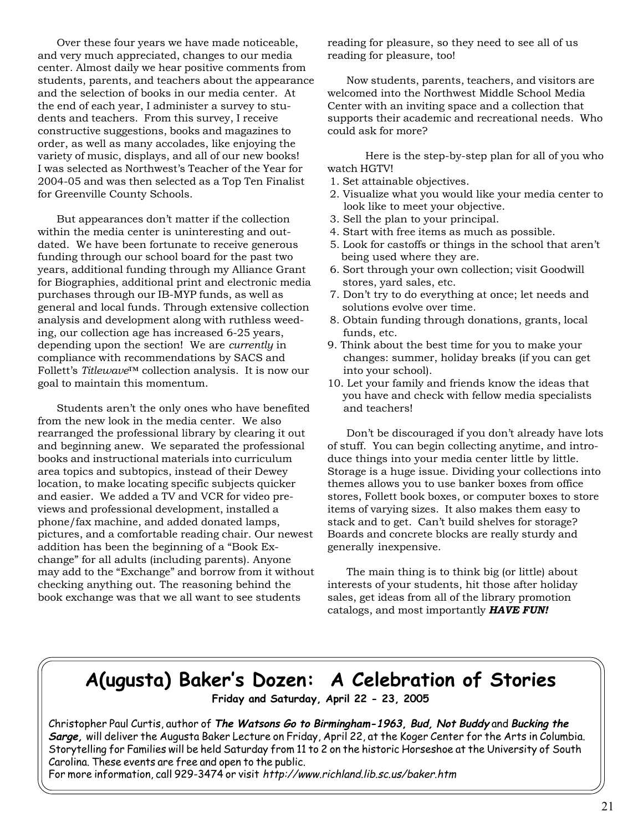Over these four years we have made noticeable, and very much appreciated, changes to our media center. Almost daily we hear positive comments from students, parents, and teachers about the appearance and the selection of books in our media center. At the end of each year, I administer a survey to students and teachers. From this survey, I receive constructive suggestions, books and magazines to order, as well as many accolades, like enjoying the variety of music, displays, and all of our new books! I was selected as Northwest's Teacher of the Year for 2004-05 and was then selected as a Top Ten Finalist for Greenville County Schools.

But appearances don't matter if the collection within the media center is uninteresting and outdated. We have been fortunate to receive generous funding through our school board for the past two years, additional funding through my Alliance Grant for Biographies, additional print and electronic media purchases through our IB-MYP funds, as well as general and local funds. Through extensive collection analysis and development along with ruthless weeding, our collection age has increased 6-25 years, depending upon the section! We are *currently* in compliance with recommendations by SACS and Follett's *Titlewave™* collection analysis. It is now our goal to maintain this momentum.

Students aren't the only ones who have benefited from the new look in the media center. We also rearranged the professional library by clearing it out and beginning anew. We separated the professional books and instructional materials into curriculum area topics and subtopics, instead of their Dewey location, to make locating specific subjects quicker and easier. We added a TV and VCR for video previews and professional development, installed a phone/fax machine, and added donated lamps, pictures, and a comfortable reading chair. Our newest addition has been the beginning of a "Book Exchange" for all adults (including parents). Anyone may add to the "Exchange" and borrow from it without checking anything out. The reasoning behind the book exchange was that we all want to see students

reading for pleasure, so they need to see all of us reading for pleasure, too!

Now students, parents, teachers, and visitors are welcomed into the Northwest Middle School Media Center with an inviting space and a collection that supports their academic and recreational needs. Who could ask for more?

Here is the step-by-step plan for all of you who watch HGTV!

- 1. Set attainable objectives.
- 2. Visualize what you would like your media center to look like to meet your objective.
- 3. Sell the plan to your principal.
- 4. Start with free items as much as possible.
- 5. Look for castoffs or things in the school that aren't being used where they are.
- 6. Sort through your own collection; visit Goodwill stores, yard sales, etc.
- 7. Don't try to do everything at once; let needs and solutions evolve over time.
- 8. Obtain funding through donations, grants, local funds, etc.
- 9. Think about the best time for you to make your changes: summer, holiday breaks (if you can get into your school).
- 10. Let your family and friends know the ideas that you have and check with fellow media specialists and teachers!

Don't be discouraged if you don't already have lots of stuff. You can begin collecting anytime, and introduce things into your media center little by little. Storage is a huge issue. Dividing your collections into themes allows you to use banker boxes from office stores, Follett book boxes, or computer boxes to store items of varying sizes. It also makes them easy to stack and to get. Can't build shelves for storage? Boards and concrete blocks are really sturdy and generally inexpensive.

The main thing is to think big (or little) about interests of your students, hit those after holiday sales, get ideas from all of the library promotion catalogs, and most importantly *HAVE FUN!*

# **A(ugusta) Baker's Dozen: A Celebration of Stories**

**Friday and Saturday, April 22 - 23, 2005**

Christopher Paul Curtis, author of **The Watsons Go to Birmingham-1963, Bud, Not Buddy** and **Bucking the Sarge,** will deliver the Augusta Baker Lecture on Friday, April 22, at the Koger Center for the Arts in Columbia. Storytelling for Families will be held Saturday from 11 to 2 on the historic Horseshoe at the University of South Carolina. These events are free and open to the public.

For more information, call 929-3474 or visit http://www.richland.lib.sc.us/baker.htm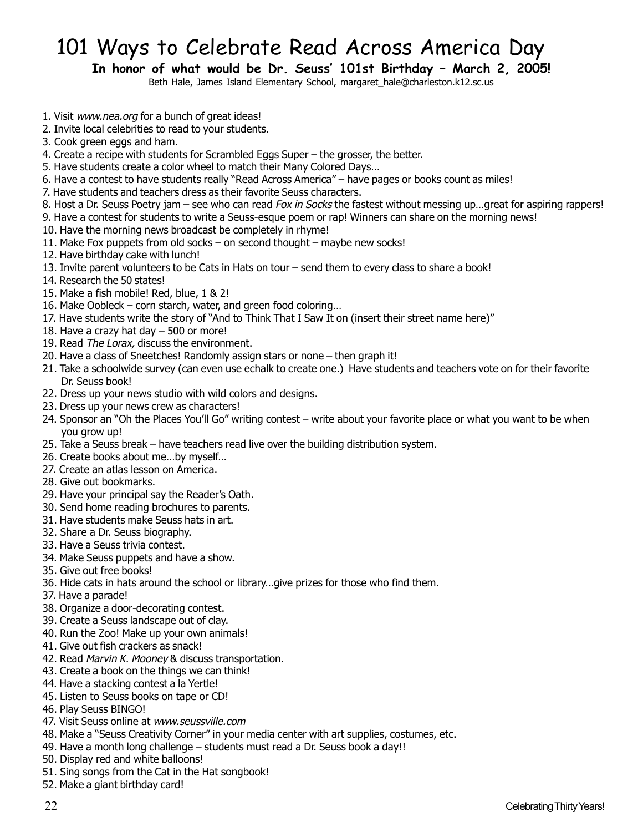# 101 Ways to Celebrate Read Across America Day

**In honor of what would be Dr. Seuss' 101st Birthday – March 2, 2005!**

Beth Hale, James Island Elementary School, margaret\_hale@charleston.k12.sc.us

- 1. Visit www.nea.org for a bunch of great ideas!
- 2. Invite local celebrities to read to your students.
- 3. Cook green eggs and ham.
- 4. Create a recipe with students for Scrambled Eggs Super the grosser, the better.
- 5. Have students create a color wheel to match their Many Colored Days…
- 6. Have a contest to have students really "Read Across America" have pages or books count as miles!
- 7. Have students and teachers dress as their favorite Seuss characters.
- 8. Host a Dr. Seuss Poetry jam see who can read Fox in Socks the fastest without messing up…great for aspiring rappers!
- 9. Have a contest for students to write a Seuss-esque poem or rap! Winners can share on the morning news!
- 10. Have the morning news broadcast be completely in rhyme!
- 11. Make Fox puppets from old socks on second thought maybe new socks!
- 12. Have birthday cake with lunch!
- 13. Invite parent volunteers to be Cats in Hats on tour send them to every class to share a book!
- 14. Research the 50 states!
- 15. Make a fish mobile! Red, blue, 1 & 2!
- 16. Make Oobleck corn starch, water, and green food coloring…
- 17. Have students write the story of "And to Think That I Saw It on (insert their street name here)"
- 18. Have a crazy hat day 500 or more!
- 19. Read The Lorax, discuss the environment.
- 20. Have a class of Sneetches! Randomly assign stars or none then graph it!
- 21. Take a schoolwide survey (can even use echalk to create one.) Have students and teachers vote on for their favorite Dr. Seuss book!
- 22. Dress up your news studio with wild colors and designs.
- 23. Dress up your news crew as characters!
- 24. Sponsor an "Oh the Places You'll Go" writing contest write about your favorite place or what you want to be when you grow up!
- 25. Take a Seuss break have teachers read live over the building distribution system.
- 26. Create books about me…by myself…
- 27. Create an atlas lesson on America.
- 28. Give out bookmarks.
- 29. Have your principal say the Reader's Oath.
- 30. Send home reading brochures to parents.
- 31. Have students make Seuss hats in art.
- 32. Share a Dr. Seuss biography.
- 33. Have a Seuss trivia contest.
- 34. Make Seuss puppets and have a show.
- 35. Give out free books!
- 36. Hide cats in hats around the school or library…give prizes for those who find them.
- 37. Have a parade!
- 38. Organize a door-decorating contest.
- 39. Create a Seuss landscape out of clay.
- 40. Run the Zoo! Make up your own animals!
- 41. Give out fish crackers as snack!
- 42. Read Marvin K. Mooney & discuss transportation.
- 43. Create a book on the things we can think!
- 44. Have a stacking contest a la Yertle!
- 45. Listen to Seuss books on tape or CD!
- 46. Play Seuss BINGO!
- 47. Visit Seuss online at www.seussville.com
- 48. Make a "Seuss Creativity Corner" in your media center with art supplies, costumes, etc.
- 49. Have a month long challenge students must read a Dr. Seuss book a day!!
- 50. Display red and white balloons!
- 51. Sing songs from the Cat in the Hat songbook!
- 52. Make a giant birthday card!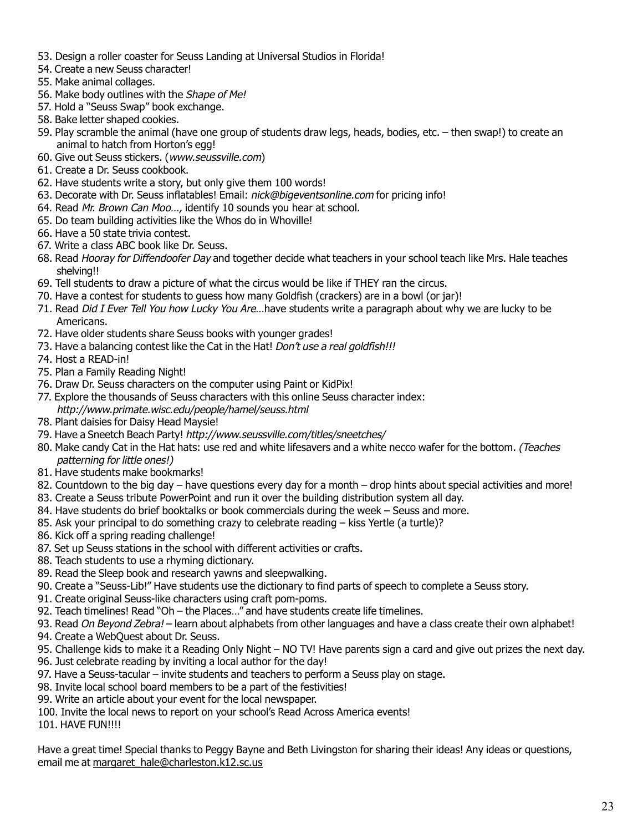- 53. Design a roller coaster for Seuss Landing at Universal Studios in Florida!
- 54. Create a new Seuss character!
- 55. Make animal collages.
- 56. Make body outlines with the Shape of Me!
- 57. Hold a "Seuss Swap" book exchange.
- 58. Bake letter shaped cookies.
- 59. Play scramble the animal (have one group of students draw legs, heads, bodies, etc. then swap!) to create an animal to hatch from Horton's egg!
- 60. Give out Seuss stickers. (www.seussville.com)
- 61. Create a Dr. Seuss cookbook.
- 62. Have students write a story, but only give them 100 words!
- 63. Decorate with Dr. Seuss inflatables! Email: nick@bigeventsonline.com for pricing info!
- 64. Read Mr. Brown Can Moo..., identify 10 sounds you hear at school.
- 65. Do team building activities like the Whos do in Whoville!
- 66. Have a 50 state trivia contest.
- 67. Write a class ABC book like Dr. Seuss.
- 68. Read Hooray for Diffendoofer Day and together decide what teachers in your school teach like Mrs. Hale teaches shelving!!
- 69. Tell students to draw a picture of what the circus would be like if THEY ran the circus.
- 70. Have a contest for students to guess how many Goldfish (crackers) are in a bowl (or jar)!
- 71. Read Did I Ever Tell You how Lucky You Are... have students write a paragraph about why we are lucky to be Americans.
- 72. Have older students share Seuss books with younger grades!
- 73. Have a balancing contest like the Cat in the Hat! Don't use a real goldfish!!!
- 74. Host a READ-in!
- 75. Plan a Family Reading Night!
- 76. Draw Dr. Seuss characters on the computer using Paint or KidPix!
- 77. Explore the thousands of Seuss characters with this online Seuss character index: http://www.primate.wisc.edu/people/hamel/seuss.html
- 78. Plant daisies for Daisy Head Maysie!
- 79. Have a Sneetch Beach Party! http://www.seussville.com/titles/sneetches/
- 80. Make candy Cat in the Hat hats: use red and white lifesavers and a white necco wafer for the bottom. (Teaches patterning for little ones!)
- 81. Have students make bookmarks!
- 82. Countdown to the big day have questions every day for a month drop hints about special activities and more!
- 83. Create a Seuss tribute PowerPoint and run it over the building distribution system all day.
- 84. Have students do brief booktalks or book commercials during the week Seuss and more.
- 85. Ask your principal to do something crazy to celebrate reading kiss Yertle (a turtle)?
- 86. Kick off a spring reading challenge!
- 87. Set up Seuss stations in the school with different activities or crafts.
- 88. Teach students to use a rhyming dictionary.
- 89. Read the Sleep book and research yawns and sleepwalking.
- 90. Create a "Seuss-Lib!" Have students use the dictionary to find parts of speech to complete a Seuss story.
- 91. Create original Seuss-like characters using craft pom-poms.
- 92. Teach timelines! Read "Oh the Places…" and have students create life timelines.
- 93. Read On Beyond Zebra! learn about alphabets from other languages and have a class create their own alphabet!
- 94. Create a WebQuest about Dr. Seuss.
- 95. Challenge kids to make it a Reading Only Night NO TV! Have parents sign a card and give out prizes the next day.
- 96. Just celebrate reading by inviting a local author for the day!
- 97. Have a Seuss-tacular invite students and teachers to perform a Seuss play on stage.
- 98. Invite local school board members to be a part of the festivities!
- 99. Write an article about your event for the local newspaper.
- 100. Invite the local news to report on your school's Read Across America events!
- 101. HAVE FUN!!!!

Have a great time! Special thanks to Peggy Bayne and Beth Livingston for sharing their ideas! Any ideas or questions, email me at margaret\_hale@charleston.k12.sc.us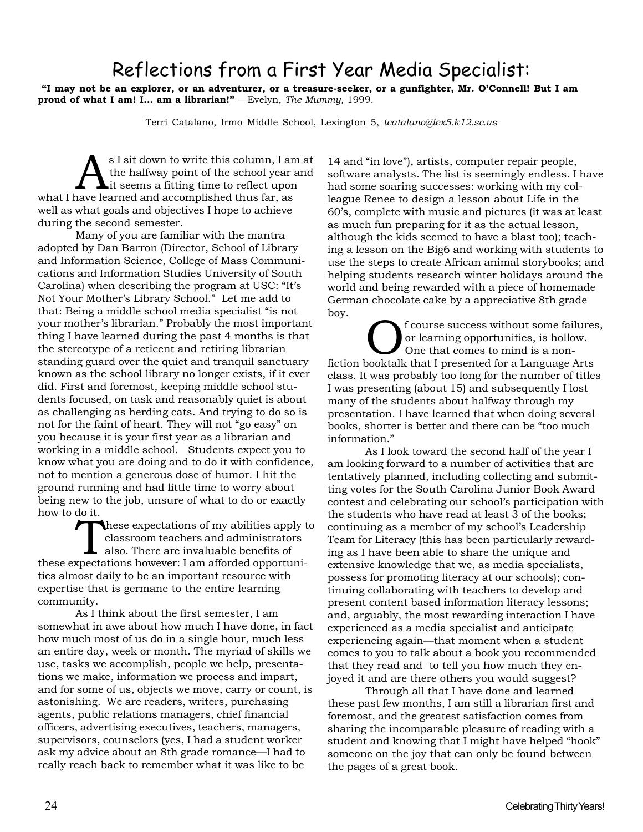# Reflections from a First Year Media Specialist:

 **"I may not be an explorer, or an adventurer, or a treasure-seeker, or a gunfighter, Mr. O'Connell! But I am proud of what I am! I... am a librarian!"** —Evelyn, *The Mummy,* 1999.

Terri Catalano, Irmo Middle School, Lexington 5, *tcatalano@lex5.k12.sc.us*

S I sit down to write this column, I am at<br>the halfway point of the school year and<br>it seems a fitting time to reflect upon the halfway point of the school year and what I have learned and accomplished thus far, as well as what goals and objectives I hope to achieve during the second semester.

Many of you are familiar with the mantra adopted by Dan Barron (Director, School of Library and Information Science, College of Mass Communications and Information Studies University of South Carolina) when describing the program at USC: "It's Not Your Mother's Library School." Let me add to that: Being a middle school media specialist "is not your mother's librarian." Probably the most important thing I have learned during the past 4 months is that the stereotype of a reticent and retiring librarian standing guard over the quiet and tranquil sanctuary known as the school library no longer exists, if it ever did. First and foremost, keeping middle school students focused, on task and reasonably quiet is about as challenging as herding cats. And trying to do so is not for the faint of heart. They will not "go easy" on you because it is your first year as a librarian and working in a middle school. Students expect you to know what you are doing and to do it with confidence, not to mention a generous dose of humor. I hit the ground running and had little time to worry about being new to the job, unsure of what to do or exactly how to do it.

These expectations of my abilities apply to classroom teachers and administrators also. There are invaluable benefits of these expectations however: I am afforded opportunities almost daily to be an important resource with expertise that is germane to the entire learning community.

As I think about the first semester, I am somewhat in awe about how much I have done, in fact how much most of us do in a single hour, much less an entire day, week or month. The myriad of skills we use, tasks we accomplish, people we help, presentations we make, information we process and impart, and for some of us, objects we move, carry or count, is astonishing. We are readers, writers, purchasing agents, public relations managers, chief financial officers, advertising executives, teachers, managers, supervisors, counselors (yes, I had a student worker ask my advice about an 8th grade romance—I had to really reach back to remember what it was like to be

14 and "in love"), artists, computer repair people, software analysts. The list is seemingly endless. I have had some soaring successes: working with my colleague Renee to design a lesson about Life in the 60's, complete with music and pictures (it was at least as much fun preparing for it as the actual lesson, although the kids seemed to have a blast too); teaching a lesson on the Big6 and working with students to use the steps to create African animal storybooks; and helping students research winter holidays around the world and being rewarded with a piece of homemade German chocolate cake by a appreciative 8th grade boy.

f course success without some failures, or learning opportunities, is hollow. One that comes to mind is a nonfiction booktalk that I presented for a Language Arts class. It was probably too long for the number of titles I was presenting (about 15) and subsequently I lost many of the students about halfway through my presentation. I have learned that when doing several books, shorter is better and there can be "too much information."

As I look toward the second half of the year I am looking forward to a number of activities that are tentatively planned, including collecting and submitting votes for the South Carolina Junior Book Award contest and celebrating our school's participation with the students who have read at least 3 of the books; continuing as a member of my school's Leadership Team for Literacy (this has been particularly rewarding as I have been able to share the unique and extensive knowledge that we, as media specialists, possess for promoting literacy at our schools); continuing collaborating with teachers to develop and present content based information literacy lessons; and, arguably, the most rewarding interaction I have experienced as a media specialist and anticipate experiencing again—that moment when a student comes to you to talk about a book you recommended that they read and to tell you how much they enjoyed it and are there others you would suggest?

Through all that I have done and learned these past few months, I am still a librarian first and foremost, and the greatest satisfaction comes from sharing the incomparable pleasure of reading with a student and knowing that I might have helped "hook" someone on the joy that can only be found between the pages of a great book.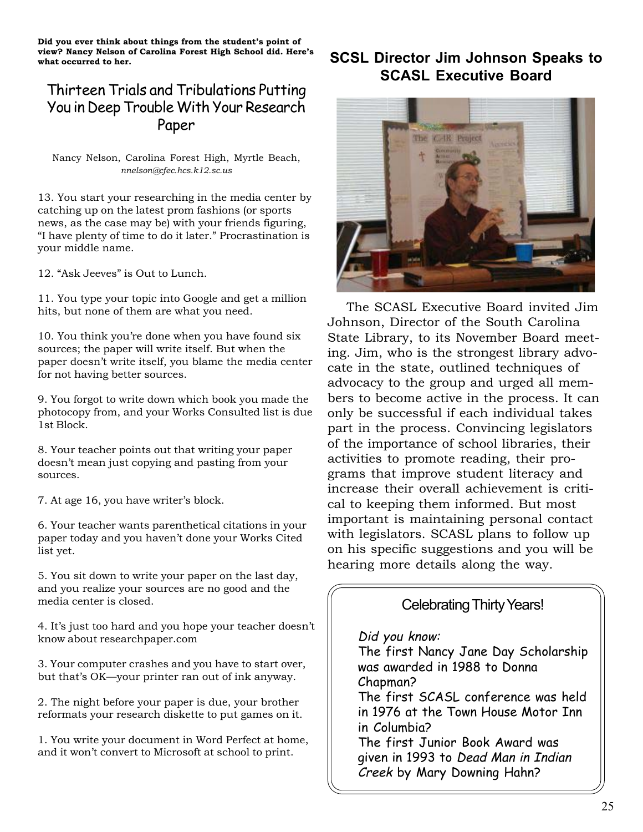**Did you ever think about things from the student's point of view? Nancy Nelson of Carolina Forest High School did. Here's what occurred to her.**

### Thirteen Trials and Tribulations Putting You in Deep Trouble With Your Research Paper

Nancy Nelson, Carolina Forest High, Myrtle Beach, *nnelson@cfec.hcs.k12.sc.us*

13. You start your researching in the media center by catching up on the latest prom fashions (or sports news, as the case may be) with your friends figuring, "I have plenty of time to do it later." Procrastination is your middle name.

12. "Ask Jeeves" is Out to Lunch.

11. You type your topic into Google and get a million hits, but none of them are what you need.

10. You think you're done when you have found six sources; the paper will write itself. But when the paper doesn't write itself, you blame the media center for not having better sources.

9. You forgot to write down which book you made the photocopy from, and your Works Consulted list is due 1st Block.

8. Your teacher points out that writing your paper doesn't mean just copying and pasting from your sources.

7. At age 16, you have writer's block.

6. Your teacher wants parenthetical citations in your paper today and you haven't done your Works Cited list yet.

5. You sit down to write your paper on the last day, and you realize your sources are no good and the media center is closed.

4. It's just too hard and you hope your teacher doesn't know about researchpaper.com

3. Your computer crashes and you have to start over, but that's OK—your printer ran out of ink anyway.

2. The night before your paper is due, your brother reformats your research diskette to put games on it.

1. You write your document in Word Perfect at home, and it won't convert to Microsoft at school to print.

### **SCSL Director Jim Johnson Speaks to SCASL Executive Board**



The SCASL Executive Board invited Jim Johnson, Director of the South Carolina State Library, to its November Board meeting. Jim, who is the strongest library advocate in the state, outlined techniques of advocacy to the group and urged all members to become active in the process. It can only be successful if each individual takes part in the process. Convincing legislators of the importance of school libraries, their activities to promote reading, their programs that improve student literacy and increase their overall achievement is critical to keeping them informed. But most important is maintaining personal contact with legislators. SCASL plans to follow up on his specific suggestions and you will be hearing more details along the way.

#### Celebrating Thirty Years!

#### Did you know:

The first Nancy Jane Day Scholarship was awarded in 1988 to Donna Chapman? The first SCASL conference was held in 1976 at the Town House Motor Inn in Columbia? The first Junior Book Award was given in 1993 to Dead Man in Indian Creek by Mary Downing Hahn?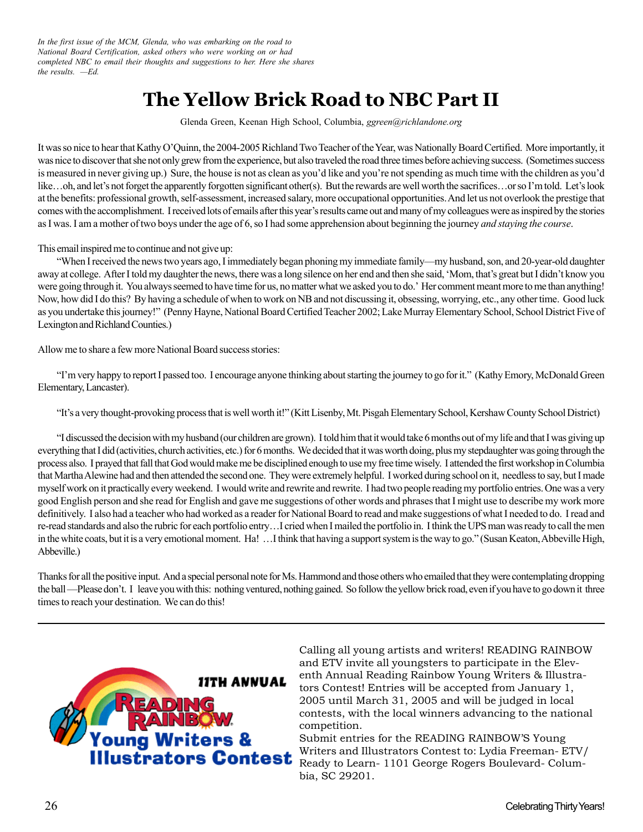*In the first issue of the MCM, Glenda, who was embarking on the road to National Board Certification, asked others who were working on or had completed NBC to email their thoughts and suggestions to her. Here she shares the results. —Ed.*

# **The Yellow Brick Road to NBC Part II**

Glenda Green, Keenan High School, Columbia, *ggreen@richlandone.org*

It was so nice to hear that Kathy O'Quinn, the 2004-2005 Richland Two Teacher of the Year, was Nationally Board Certified. More importantly, it was nice to discover that she not only grew from the experience, but also traveled the road three times before achieving success. (Sometimes success is measured in never giving up.) Sure, the house is not as clean as you'd like and you're not spending as much time with the children as you'd like…oh, and let's not forget the apparently forgotten significant other(s). But the rewards are well worth the sacrifices…or so I'm told. Let's look at the benefits: professional growth, self-assessment, increased salary, more occupational opportunities. And let us not overlook the prestige that comes with the accomplishment. I received lots of emails after this year's results came out and many of my colleagues were as inspired by the stories as I was. I am a mother of two boys under the age of 6, so I had some apprehension about beginning the journey *and staying the course*.

This email inspired me to continue and not give up:

"When I received the news two years ago, I immediately began phoning my immediate family—my husband, son, and 20-year-old daughter away at college. After I told my daughter the news, there was a long silence on her end and then she said, 'Mom, that's great but I didn't know you were going through it. You always seemed to have time for us, no matter what we asked you to do.' Her comment meant more to me than anything! Now, how did I do this? By having a schedule of when to work on NB and not discussing it, obsessing, worrying, etc., any other time. Good luck as you undertake this journey!" (Penny Hayne, National Board Certified Teacher 2002; Lake Murray Elementary School, School District Five of Lexington and Richland Counties.)

Allow me to share a few more National Board success stories:

"I'm very happy to report I passed too. I encourage anyone thinking about starting the journey to go for it." (Kathy Emory, McDonald Green Elementary, Lancaster).

"It's a very thought-provoking process that is well worth it!" (Kitt Lisenby, Mt. Pisgah Elementary School, Kershaw County School District)

"I discussed the decision with my husband (our children are grown). I told him that it would take 6 months out of my life and that I was giving up everything that I did (activities, church activities, etc.) for 6 months. We decided that it was worth doing, plus my stepdaughter was going through the process also. I prayed that fall that God would make me be disciplined enough to use my free time wisely. I attended the first workshop in Columbia that Martha Alewine had and then attended the second one. They were extremely helpful. I worked during school on it, needless to say, but I made myself work on it practically every weekend. I would write and rewrite and rewrite. I had two people reading my portfolio entries. One was a very good English person and she read for English and gave me suggestions of other words and phrases that I might use to describe my work more definitively. I also had a teacher who had worked as a reader for National Board to read and make suggestions of what I needed to do. I read and re-read standards and also the rubric for each portfolio entry…I cried when I mailed the portfolio in. I think the UPS man was ready to call the men in the white coats, but it is a very emotional moment. Ha! …I think that having a support system is the way to go." (Susan Keaton, Abbeville High, Abbeville.)

Thanks for all the positive input. And a special personal note for Ms. Hammond and those others who emailed that they were contemplating dropping the ball —Please don't. I leave you with this: nothing ventured, nothing gained. So follow the yellow brick road, even if you have to go down it three times to reach your destination. We can do this!



Calling all young artists and writers! READING RAINBOW and ETV invite all youngsters to participate in the Eleventh Annual Reading Rainbow Young Writers & Illustrators Contest! Entries will be accepted from January 1, 2005 until March 31, 2005 and will be judged in local contests, with the local winners advancing to the national competition.

Submit entries for the READING RAINBOW'S Young Writers and Illustrators Contest to: Lydia Freeman- ETV/ Ready to Learn- 1101 George Rogers Boulevard- Columbia, SC 29201.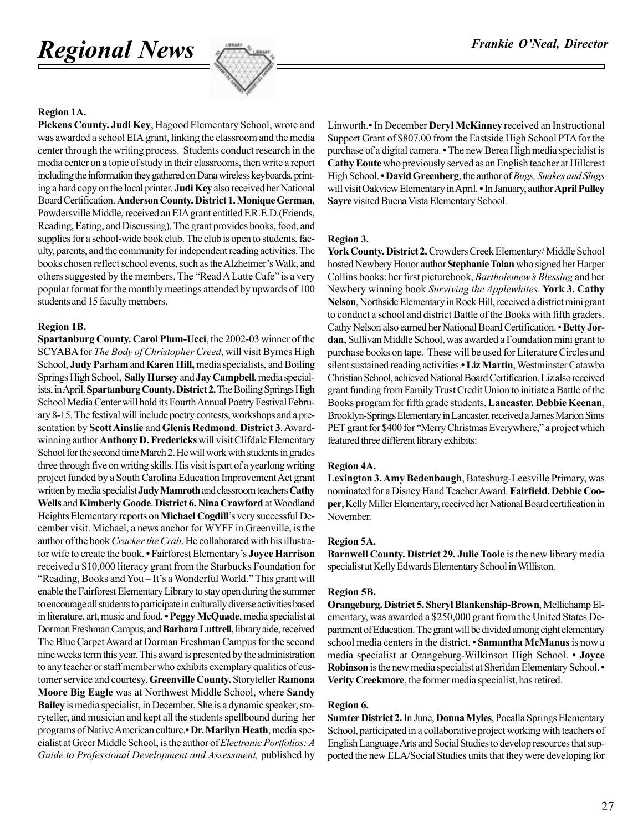# *Regional News*



#### **Region 1A.**

**Pickens County. Judi Key**, Hagood Elementary School, wrote and was awarded a school EIA grant, linking the classroom and the media center through the writing process. Students conduct research in the media center on a topic of study in their classrooms, then write a report including the information they gathered on Dana wireless keyboards, printing a hard copy on the local printer. **Judi Key** also received her National Board Certification. **Anderson County. District 1.Monique German**, Powdersville Middle, received an EIA grant entitled F.R.E.D.(Friends, Reading, Eating, and Discussing). The grant provides books, food, and supplies for a school-wide book club. The club is open to students, faculty, parents, and the community for independent reading activities. The books chosen reflect school events, such as the Alzheimer's Walk, and others suggested by the members. The "Read A Latte Cafe" is a very popular format for the monthly meetings attended by upwards of 100 students and 15 faculty members.

#### **Region 1B.**

**Spartanburg County. Carol Plum-Ucci**, the 2002-03 winner of the SCYABA for *The Body of Christopher Creed*, will visit Byrnes High School, **Judy Parham** and **Karen Hill,** media specialists, and Boiling Springs High School, **Sally Hursey** and **Jay Campbell**, media specialists, in April. **Spartanburg County. District 2.** The Boiling Springs High School Media Center will hold its Fourth Annual Poetry Festival February 8-15. The festival will include poetry contests, workshops and a presentation by **Scott Ainslie** and **Glenis Redmond**. **District 3**. Awardwinning author **Anthony D. Fredericks** will visit Clifdale Elementary School for the second time March 2. He will work with students in grades three through five on writing skills. His visit is part of a yearlong writing project funded by a South Carolina Education Improvement Act grant written by media specialist **Judy Mamroth** and classroom teachers **Cathy Wells** and **Kimberly Goode**. **District 6. Nina Crawford** at Woodland Heights Elementary reports on **Michael Cogdill**'s very successful December visit. Michael, a news anchor for WYFF in Greenville, is the author of the book *Cracker the Crab*. He collaborated with his illustrator wife to create the book. **•** Fairforest Elementary's **Joyce Harrison** received a \$10,000 literacy grant from the Starbucks Foundation for "Reading, Books and You – It's a Wonderful World." This grant will enable the Fairforest Elementary Library to stay open during the summer to encourage all students to participate in culturally diverse activities based in literature, art, music and food. **• Peggy McQuade**, media specialist at Dorman Freshman Campus, and **BarbaraLuttrell**, library aide, received The Blue Carpet Award at Dorman Freshman Campus for the second nine weeks term this year. This award is presented by the administration to any teacher or staff member who exhibits exemplary qualities of customer service and courtesy. **Greenville County.** Storyteller **Ramona Moore Big Eagle** was at Northwest Middle School, where **Sandy Bailey** is media specialist, in December. She is a dynamic speaker, storyteller, and musician and kept all the students spellbound during her programs of Native American culture.**• Dr. Marilyn Heath**, media specialist at Greer Middle School, is the author of *Electronic Portfolios: A Guide to Professional Development and Assessment,* published by

Linworth.**•** In December **Deryl McKinney** received an Instructional Support Grant of \$807.00 from the Eastside High School PTA for the purchase of a digital camera. **•** The new Berea High media specialist is **Cathy Eoute** who previously served as an English teacher at Hillcrest High School. **•David Greenberg**, the author of *Bugs, Snakes and Slugs* will visit Oakview Elementary in April. **•** In January, author **April Pulley Sayre** visited Buena Vista Elementary School.

#### **Region 3.**

York County. District 2. Crowders Creek Elementary/Middle School hosted Newbery Honor author **Stephanie Tolan** who signed her Harper Collins books: her first picturebook, *Bartholemew's Blessing* and her Newbery winning book *Surviving the Applewhites*. **York 3. Cathy Nelson**, Northside Elementary in Rock Hill, received a district mini grant to conduct a school and district Battle of the Books with fifth graders. Cathy Nelson also earned her National Board Certification. • **Betty Jordan**, Sullivan Middle School, was awarded a Foundation mini grant to purchase books on tape. These will be used for Literature Circles and silent sustained reading activities.**• Liz Martin**, Westminster Catawba Christian School, achieved National Board Certification. Liz also received grant funding from Family Trust Credit Union to initiate a Battle of the Books program for fifth grade students. **Lancaster. Debbie Keenan**, Brooklyn-Springs Elementary in Lancaster, received a James Marion Sims PET grant for \$400 for "Merry Christmas Everywhere," a project which featured three different library exhibits:

#### **Region 4A.**

**Lexington 3. Amy Bedenbaugh**, Batesburg-Leesville Primary, was nominated for a Disney Hand Teacher Award. **Fairfield. Debbie Cooper**, Kelly Miller Elementary, received her National Board certification in November.

#### **Region 5A.**

**Barnwell County. District 29. Julie Toole** is the new library media specialist at Kelly Edwards Elementary School in Williston.

#### **Region 5B.**

**Orangeburg. District 5. Sheryl Blankenship-Brown**, Mellichamp Elementary, was awarded a \$250,000 grant from the United States Department of Education. The grant will be divided among eight elementary school media centers in the district. **• Samantha McManus** is now a media specialist at Orangeburg-Wilkinson High School. **• Joyce Robinson** is the new media specialist at Sheridan Elementary School. **• Verity Creekmore**, the former media specialist, has retired.

#### **Region 6.**

**Sumter District 2.** In June, **Donna Myles**, Pocalla Springs Elementary School, participated in a collaborative project working with teachers of English Language Arts and Social Studies to develop resources that supported the new ELA/Social Studies units that they were developing for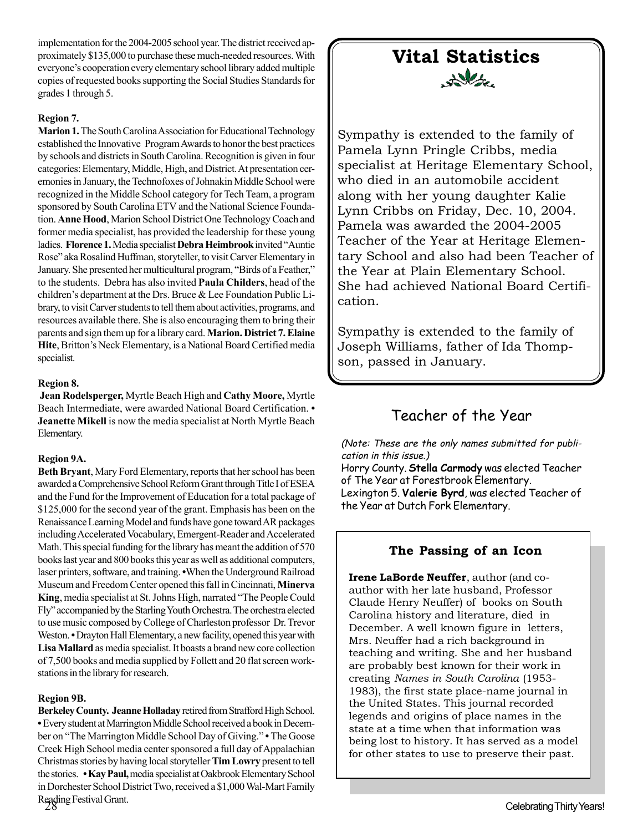implementation for the 2004-2005 school year. The district received approximately \$135,000 to purchase these much-needed resources. With everyone's cooperation every elementary school library added multiple copies of requested books supporting the Social Studies Standards for grades 1 through 5.

#### **Region 7.**

**Marion 1.** The South Carolina Association for Educational Technology established the Innovative Program Awards to honor the best practices by schools and districts in South Carolina. Recognition is given in four categories: Elementary, Middle, High, and District. At presentation ceremonies in January, the Technofoxes of Johnakin Middle School were recognized in the Middle School category for Tech Team, a program sponsored by South Carolina ETV and the National Science Foundation. **Anne Hood**, Marion School District One Technology Coach and former media specialist, has provided the leadership for these young ladies. **Florence 1.** Media specialist **Debra Heimbrook** invited "Auntie Rose" aka Rosalind Huffman, storyteller, to visit Carver Elementary in January. She presented her multicultural program, "Birds of a Feather," to the students. Debra has also invited **Paula Childers**, head of the children's department at the Drs. Bruce & Lee Foundation Public Library, to visit Carver students to tell them about activities, programs, and resources available there. She is also encouraging them to bring their parents and sign them up for a library card. **Marion. District 7. Elaine Hite**, Britton's Neck Elementary, is a National Board Certified media specialist.

#### **Region 8.**

**Jean Rodelsperger,** Myrtle Beach High and **Cathy Moore,** Myrtle Beach Intermediate, were awarded National Board Certification. **• Jeanette Mikell** is now the media specialist at North Myrtle Beach Elementary.

#### **Region 9A.**

**Beth Bryant**, Mary Ford Elementary, reports that her school has been awarded a Comprehensive School Reform Grant through Title I of ESEA and the Fund for the Improvement of Education for a total package of \$125,000 for the second year of the grant. Emphasis has been on the Renaissance Learning Model and funds have gone toward AR packages including Accelerated Vocabulary, Emergent-Reader and Accelerated Math. This special funding for the library has meant the addition of 570 books last year and 800 books this year as well as additional computers, laser printers, software, and training. **•**When the Underground Railroad Museum and Freedom Center opened this fall in Cincinnati, **Minerva King**, media specialist at St. Johns High, narrated "The People Could Fly" accompanied by the Starling Youth Orchestra. The orchestra elected to use music composed by College of Charleston professor Dr. Trevor Weston. **•** Drayton Hall Elementary, a new facility, opened this year with **Lisa Mallard** as media specialist. It boasts a brand new core collection of 7,500 books and media supplied by Follett and 20 flat screen workstations in the library for research.

#### **Region 9B.**

**Berkeley County. Jeanne Holladay** retired from Strafford High School. **•** Every student at Marrington Middle School received a book in December on "The Marrington Middle School Day of Giving." **•** The Goose Creek High School media center sponsored a full day of Appalachian Christmas stories by having local storyteller **Tim Lowry** present to tell the stories. **• Kay Paul,** media specialist at Oakbrook Elementary School in Dorchester School District Two, received a \$1,000 Wal-Mart Family Reading Festival Grant.

## **Vital Statistics** Delta

Sympathy is extended to the family of Pamela Lynn Pringle Cribbs, media specialist at Heritage Elementary School, who died in an automobile accident along with her young daughter Kalie Lynn Cribbs on Friday, Dec. 10, 2004. Pamela was awarded the 2004-2005 Teacher of the Year at Heritage Elementary School and also had been Teacher of the Year at Plain Elementary School. She had achieved National Board Certification.

Sympathy is extended to the family of Joseph Williams, father of Ida Thompson, passed in January.

### Teacher of the Year

(Note: These are the only names submitted for publication in this issue.) Horry County. **Stella Carmody** was elected Teacher of The Year at Forestbrook Elementary. Lexington 5. **Valerie Byrd**, was elected Teacher of the Year at Dutch Fork Elementary.

#### **The Passing of an Icon**

**Irene LaBorde Neuffer**, author (and coauthor with her late husband, Professor Claude Henry Neuffer) of books on South Carolina history and literature, died in December. A well known figure in letters, Mrs. Neuffer had a rich background in teaching and writing. She and her husband are probably best known for their work in creating *Names in South Carolina* (1953- 1983), the first state place-name journal in the United States. This journal recorded legends and origins of place names in the state at a time when that information was being lost to history. It has served as a model for other states to use to preserve their past.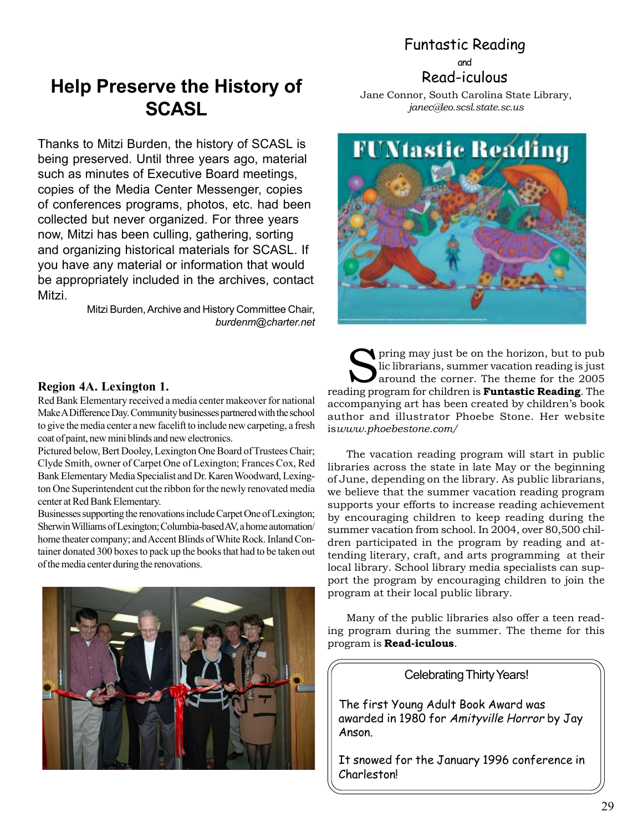# Funtastic Reading

and Read-iculous

# **Help Preserve the History of SCASL**

Thanks to Mitzi Burden, the history of SCASL is being preserved. Until three years ago, material such as minutes of Executive Board meetings, copies of the Media Center Messenger, copies of conferences programs, photos, etc. had been collected but never organized. For three years now, Mitzi has been culling, gathering, sorting and organizing historical materials for SCASL. If you have any material or information that would be appropriately included in the archives, contact Mitzi.

> Mitzi Burden, Archive and History Committee Chair, *burdenm@charter.net*

Jane Connor, South Carolina State Library, *janec@leo.scsl.state.sc.us*



#### **Region 4A. Lexington 1.**

Red Bank Elementary received a media center makeover for national Make A Difference Day. Community businesses partnered with the school to give the media center a new facelift to include new carpeting, a fresh coat of paint, new mini blinds and new electronics.

Pictured below, Bert Dooley, Lexington One Board of Trustees Chair; Clyde Smith, owner of Carpet One of Lexington; Frances Cox, Red Bank Elementary Media Specialist and Dr. Karen Woodward, Lexington One Superintendent cut the ribbon for the newly renovated media center at Red Bank Elementary.

Businesses supporting the renovations include Carpet One of Lexington; Sherwin Williams of Lexington; Columbia-based AV, a home automation/ home theater company; and Accent Blinds of White Rock. Inland Container donated 300 boxes to pack up the books that had to be taken out of the media center during the renovations.



Spring may just be on the horizon, but to public librarians, summer vacation reading is just<br>around the corner. The theme for the 2005 lic librarians, summer vacation reading is just around the corner. The theme for the 2005 reading program for children is **Funtastic Reading**. The accompanying art has been created by children's book author and illustrator Phoebe Stone. Her website is*www.phoebestone.com/*

The vacation reading program will start in public libraries across the state in late May or the beginning of June, depending on the library. As public librarians, we believe that the summer vacation reading program supports your efforts to increase reading achievement by encouraging children to keep reading during the summer vacation from school. In 2004, over 80,500 children participated in the program by reading and attending literary, craft, and arts programming at their local library. School library media specialists can support the program by encouraging children to join the program at their local public library.

Many of the public libraries also offer a teen reading program during the summer. The theme for this program is **Read-iculous**.

Celebrating Thirty Years!

The first Young Adult Book Award was awarded in 1980 for Amityville Horror by Jay Anson.

It snowed for the January 1996 conference in Charleston!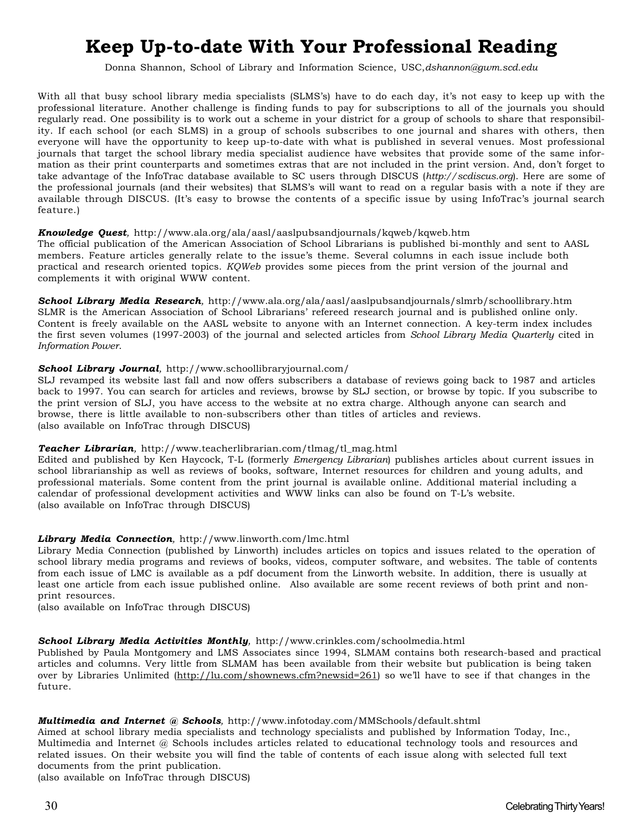# **Keep Up-to-date With Your Professional Reading**

Donna Shannon, School of Library and Information Science, USC,*dshannon@gwm.scd.edu*

With all that busy school library media specialists (SLMS's) have to do each day, it's not easy to keep up with the professional literature. Another challenge is finding funds to pay for subscriptions to all of the journals you should regularly read. One possibility is to work out a scheme in your district for a group of schools to share that responsibility. If each school (or each SLMS) in a group of schools subscribes to one journal and shares with others, then everyone will have the opportunity to keep up-to-date with what is published in several venues. Most professional journals that target the school library media specialist audience have websites that provide some of the same information as their print counterparts and sometimes extras that are not included in the print version. And, don't forget to take advantage of the InfoTrac database available to SC users through DISCUS (*http://scdiscus.org*). Here are some of the professional journals (and their websites) that SLMS's will want to read on a regular basis with a note if they are available through DISCUS. (It's easy to browse the contents of a specific issue by using InfoTrac's journal search feature.)

#### *Knowledge Quest,* http://www.ala.org/ala/aasl/aaslpubsandjournals/kqweb/kqweb.htm

The official publication of the American Association of School Librarians is published bi-monthly and sent to AASL members. Feature articles generally relate to the issue's theme. Several columns in each issue include both practical and research oriented topics. *KQWeb* provides some pieces from the print version of the journal and complements it with original WWW content.

*School Library Media Research,* http://www.ala.org/ala/aasl/aaslpubsandjournals/slmrb/schoollibrary.htm SLMR is the American Association of School Librarians' refereed research journal and is published online only. Content is freely available on the AASL website to anyone with an Internet connection. A key-term index includes the first seven volumes (1997-2003) of the journal and selected articles from *School Library Media Quarterly* cited in *Information Power*.

#### *School Library Journal,* http://www.schoollibraryjournal.com/

SLJ revamped its website last fall and now offers subscribers a database of reviews going back to 1987 and articles back to 1997. You can search for articles and reviews, browse by SLJ section, or browse by topic. If you subscribe to the print version of SLJ, you have access to the website at no extra charge. Although anyone can search and browse, there is little available to non-subscribers other than titles of articles and reviews. (also available on InfoTrac through DISCUS)

#### *Teacher Librarian,* http://www.teacherlibrarian.com/tlmag/tl\_mag.html

Edited and published by Ken Haycock, T-L (formerly *Emergency Librarian*) publishes articles about current issues in school librarianship as well as reviews of books, software, Internet resources for children and young adults, and professional materials. Some content from the print journal is available online. Additional material including a calendar of professional development activities and WWW links can also be found on T-L's website. (also available on InfoTrac through DISCUS)

#### *Library Media Connection,* http://www.linworth.com/lmc.html

Library Media Connection (published by Linworth) includes articles on topics and issues related to the operation of school library media programs and reviews of books, videos, computer software, and websites. The table of contents from each issue of LMC is available as a pdf document from the Linworth website. In addition, there is usually at least one article from each issue published online. Also available are some recent reviews of both print and nonprint resources.

(also available on InfoTrac through DISCUS)

#### *School Library Media Activities Monthly,* http://www.crinkles.com/schoolmedia.html

Published by Paula Montgomery and LMS Associates since 1994, SLMAM contains both research-based and practical articles and columns. Very little from SLMAM has been available from their website but publication is being taken over by Libraries Unlimited (http://lu.com/shownews.cfm?newsid=261) so we'll have to see if that changes in the future.

#### *Multimedia and Internet @ Schools,* http://www.infotoday.com/MMSchools/default.shtml

Aimed at school library media specialists and technology specialists and published by Information Today, Inc., Multimedia and Internet @ Schools includes articles related to educational technology tools and resources and related issues. On their website you will find the table of contents of each issue along with selected full text documents from the print publication.

(also available on InfoTrac through DISCUS)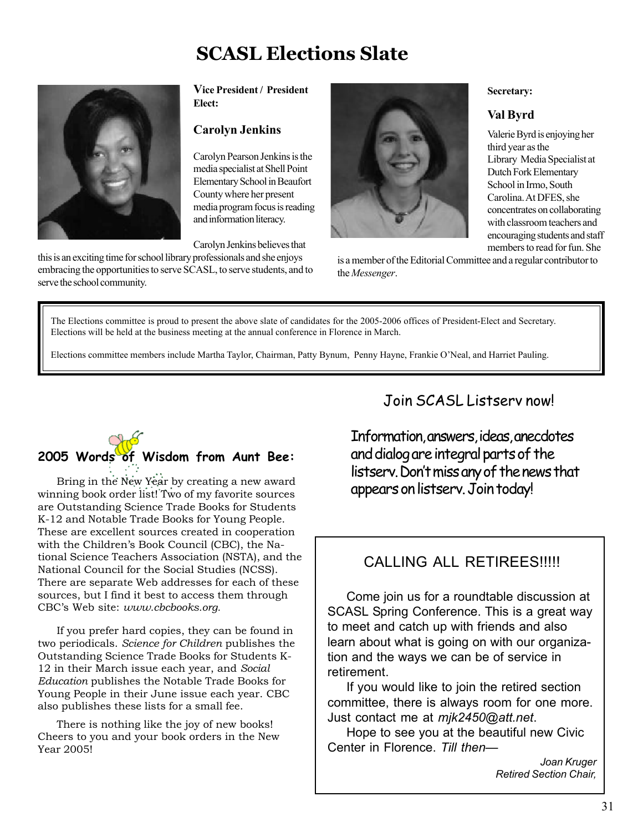# **SCASL Elections Slate**



**Vice President / President Elect:**

#### **Carolyn Jenkins**

Carolyn Pearson Jenkins is the media specialist at Shell Point Elementary School in Beaufort County where her present media program focus is reading and information literacy.

Carolyn Jenkins believes that

this is an exciting time for school library professionals and she enjoys embracing the opportunities to serve SCASL, to serve students, and to serve the school community.



is a member of the Editorial Committee and a regular contributor to the *Messenger*.

**Secretary:**

**Val Byrd**

third year as the

Valerie Byrd is enjoying her

Library Media Specialist at Dutch Fork Elementary School in Irmo, South Carolina. At DFES, she concentrates on collaborating with classroom teachers and encouraging students and staff members to read for fun. She

The Elections committee is proud to present the above slate of candidates for the 2005-2006 offices of President-Elect and Secretary. Elections will be held at the business meeting at the annual conference in Florence in March.

Elections committee members include Martha Taylor, Chairman, Patty Bynum, Penny Hayne, Frankie O'Neal, and Harriet Pauling.

# **2005 Words of Wisdom from Aunt Bee:**

Bring in the New Year by creating a new award winning book order list! Two of my favorite sources are Outstanding Science Trade Books for Students K-12 and Notable Trade Books for Young People. These are excellent sources created in cooperation with the Children's Book Council (CBC), the National Science Teachers Association (NSTA), and the National Council for the Social Studies (NCSS). There are separate Web addresses for each of these sources, but I find it best to access them through CBC's Web site: *www.cbcbooks.org.*

If you prefer hard copies, they can be found in two periodicals. *Science for Children* publishes the Outstanding Science Trade Books for Students K-12 in their March issue each year, and *Social Education* publishes the Notable Trade Books for Young People in their June issue each year. CBC also publishes these lists for a small fee.

There is nothing like the joy of new books! Cheers to you and your book orders in the New Year 2005!

### Join SCASL Listserv now!

Information, answers, ideas, anecdotes and dialog are integral parts of the listserv. Don't miss any of the news that appears on listserv. Join today!

### CALLING ALL RETIREES!!!!!

Come join us for a roundtable discussion at SCASL Spring Conference. This is a great way to meet and catch up with friends and also learn about what is going on with our organization and the ways we can be of service in retirement.

If you would like to join the retired section committee, there is always room for one more. Just contact me at *mjk2450@att.net*.

Hope to see you at the beautiful new Civic Center in Florence. *Till then—*

> *Joan Kruger Retired Section Chair,*